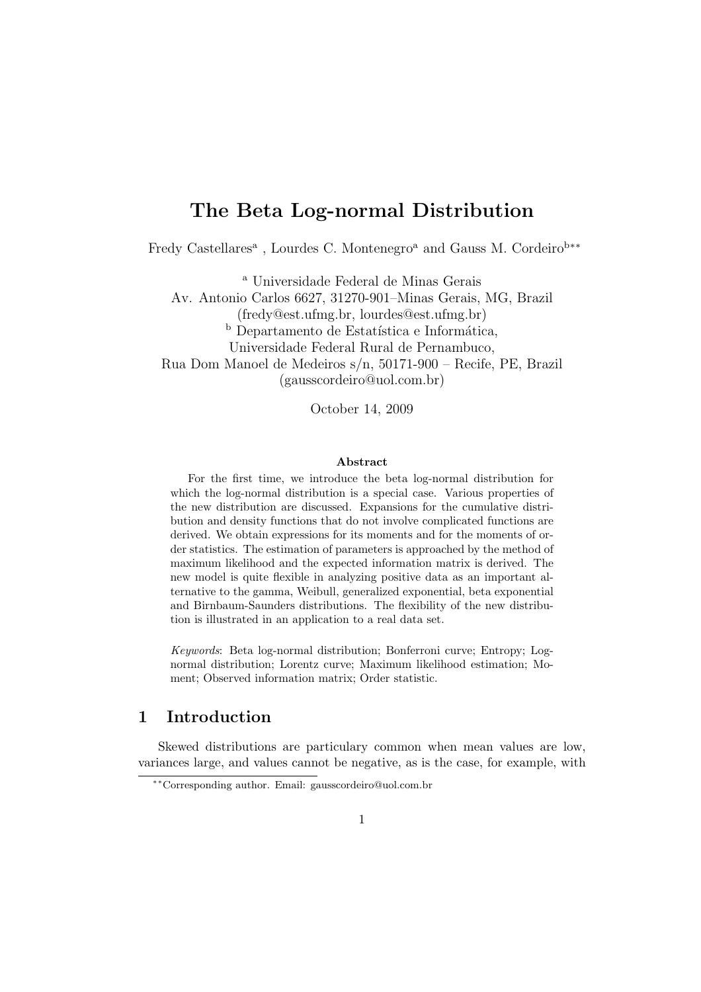# The Beta Log-normal Distribution

Fredy Castellares<sup>a</sup>, Lourdes C. Montenegro<sup>a</sup> and Gauss M. Cordeiro<sup>b</sup><sup>\*\*</sup>

<sup>a</sup> Universidade Federal de Minas Gerais

Av. Antonio Carlos 6627, 31270-901–Minas Gerais, MG, Brazil (fredy@est.ufmg.br, lourdes@est.ufmg.br) b Departamento de Estatística e Informática, Universidade Federal Rural de Pernambuco, Rua Dom Manoel de Medeiros s/n, 50171-900 – Recife, PE, Brazil (gausscordeiro@uol.com.br)

October 14, 2009

#### Abstract

For the first time, we introduce the beta log-normal distribution for which the log-normal distribution is a special case. Various properties of the new distribution are discussed. Expansions for the cumulative distribution and density functions that do not involve complicated functions are derived. We obtain expressions for its moments and for the moments of order statistics. The estimation of parameters is approached by the method of maximum likelihood and the expected information matrix is derived. The new model is quite flexible in analyzing positive data as an important alternative to the gamma, Weibull, generalized exponential, beta exponential and Birnbaum-Saunders distributions. The flexibility of the new distribution is illustrated in an application to a real data set.

Keywords: Beta log-normal distribution; Bonferroni curve; Entropy; Lognormal distribution; Lorentz curve; Maximum likelihood estimation; Moment; Observed information matrix; Order statistic.

#### 1 Introduction

Skewed distributions are particulary common when mean values are low, variances large, and values cannot be negative, as is the case, for example, with

<sup>∗∗</sup>Corresponding author. Email: gausscordeiro@uol.com.br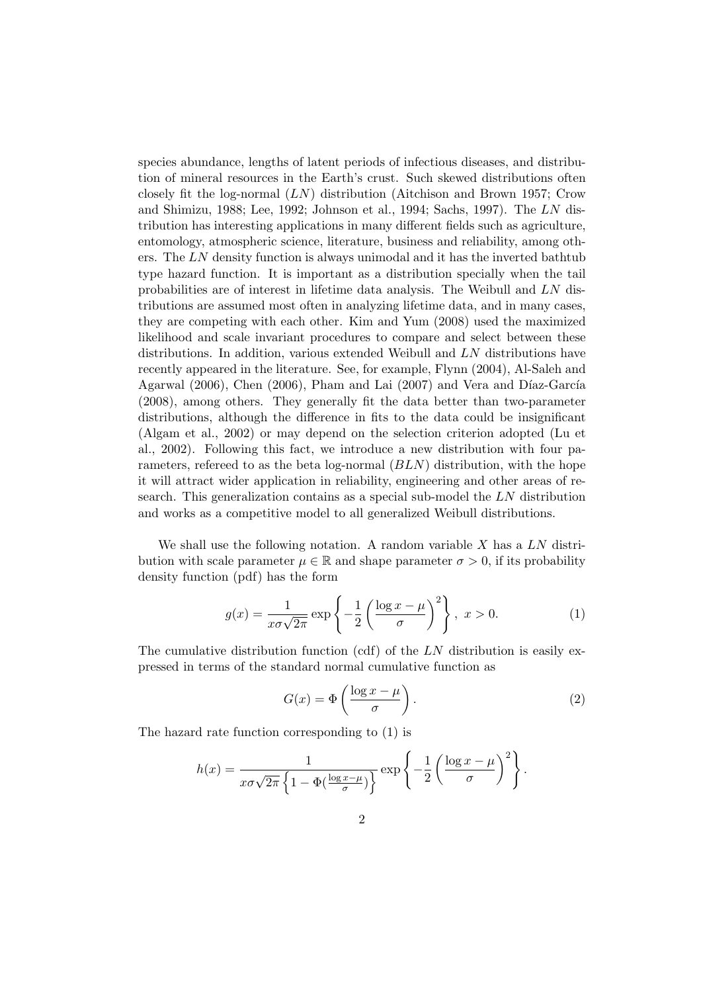species abundance, lengths of latent periods of infectious diseases, and distribution of mineral resources in the Earth's crust. Such skewed distributions often closely fit the log-normal (LN) distribution (Aitchison and Brown 1957; Crow and Shimizu, 1988; Lee, 1992; Johnson et al., 1994; Sachs, 1997). The LN distribution has interesting applications in many different fields such as agriculture, entomology, atmospheric science, literature, business and reliability, among others. The  $LN$  density function is always unimodal and it has the inverted bathtub type hazard function. It is important as a distribution specially when the tail probabilities are of interest in lifetime data analysis. The Weibull and LN distributions are assumed most often in analyzing lifetime data, and in many cases, they are competing with each other. Kim and Yum (2008) used the maximized likelihood and scale invariant procedures to compare and select between these distributions. In addition, various extended Weibull and LN distributions have recently appeared in the literature. See, for example, Flynn (2004), Al-Saleh and Agarwal (2006), Chen (2006), Pham and Lai (2007) and Vera and Díaz-García (2008), among others. They generally fit the data better than two-parameter distributions, although the difference in fits to the data could be insignificant (Algam et al., 2002) or may depend on the selection criterion adopted (Lu et al., 2002). Following this fact, we introduce a new distribution with four parameters, referred to as the beta log-normal  $(BLN)$  distribution, with the hope it will attract wider application in reliability, engineering and other areas of research. This generalization contains as a special sub-model the LN distribution and works as a competitive model to all generalized Weibull distributions.

We shall use the following notation. A random variable X has a  $LN$  distribution with scale parameter  $\mu \in \mathbb{R}$  and shape parameter  $\sigma > 0$ , if its probability density function (pdf) has the form

$$
g(x) = \frac{1}{x\sigma\sqrt{2\pi}} \exp\left\{-\frac{1}{2}\left(\frac{\log x - \mu}{\sigma}\right)^2\right\}, \ x > 0.
$$
 (1)

The cumulative distribution function (cdf) of the  $LN$  distribution is easily expressed in terms of the standard normal cumulative function as

$$
G(x) = \Phi\left(\frac{\log x - \mu}{\sigma}\right). \tag{2}
$$

The hazard rate function corresponding to (1) is

$$
h(x) = \frac{1}{x\sigma\sqrt{2\pi} \left\{1 - \Phi(\frac{\log x - \mu}{\sigma})\right\}} \exp\left\{-\frac{1}{2} \left(\frac{\log x - \mu}{\sigma}\right)^2\right\}.
$$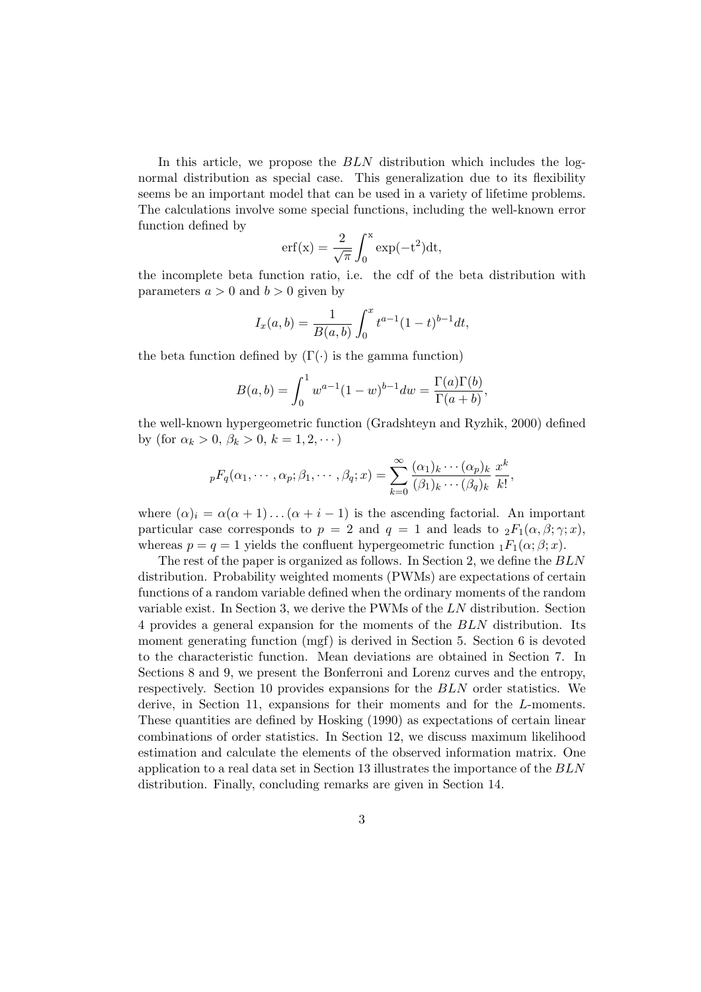In this article, we propose the BLN distribution which includes the lognormal distribution as special case. This generalization due to its flexibility seems be an important model that can be used in a variety of lifetime problems. The calculations involve some special functions, including the well-known error function defined by  $\overline{r}$ 

$$
erf(x) = \frac{2}{\sqrt{\pi}} \int_0^x exp(-t^2) dt,
$$

the incomplete beta function ratio, i.e. the cdf of the beta distribution with parameters  $a > 0$  and  $b > 0$  given by

$$
I_x(a,b) = \frac{1}{B(a,b)} \int_0^x t^{a-1} (1-t)^{b-1} dt,
$$

the beta function defined by  $(\Gamma(\cdot))$  is the gamma function)

$$
B(a, b) = \int_0^1 w^{a-1} (1 - w)^{b-1} dw = \frac{\Gamma(a)\Gamma(b)}{\Gamma(a+b)},
$$

the well-known hypergeometric function (Gradshteyn and Ryzhik, 2000) defined by (for  $\alpha_k > 0, \, \beta_k > 0, \, k = 1, 2, \dots$ )

$$
{}_{p}F_{q}(\alpha_1,\cdots,\alpha_p;\beta_1,\cdots,\beta_q;x) = \sum_{k=0}^{\infty} \frac{(\alpha_1)_k\cdots(\alpha_p)_k}{(\beta_1)_k\cdots(\beta_q)_k} \frac{x^k}{k!},
$$

where  $(\alpha)_i = \alpha(\alpha + 1) \dots (\alpha + i - 1)$  is the ascending factorial. An important particular case corresponds to  $p = 2$  and  $q = 1$  and leads to  ${}_2F_1(\alpha, \beta; \gamma; x)$ , whereas  $p = q = 1$  yields the confluent hypergeometric function  $_1F_1(\alpha; \beta; x)$ .

The rest of the paper is organized as follows. In Section 2, we define the BLN distribution. Probability weighted moments (PWMs) are expectations of certain functions of a random variable defined when the ordinary moments of the random variable exist. In Section 3, we derive the PWMs of the LN distribution. Section 4 provides a general expansion for the moments of the BLN distribution. Its moment generating function (mgf) is derived in Section 5. Section 6 is devoted to the characteristic function. Mean deviations are obtained in Section 7. In Sections 8 and 9, we present the Bonferroni and Lorenz curves and the entropy, respectively. Section 10 provides expansions for the BLN order statistics. We derive, in Section 11, expansions for their moments and for the L-moments. These quantities are defined by Hosking (1990) as expectations of certain linear combinations of order statistics. In Section 12, we discuss maximum likelihood estimation and calculate the elements of the observed information matrix. One application to a real data set in Section 13 illustrates the importance of the BLN distribution. Finally, concluding remarks are given in Section 14.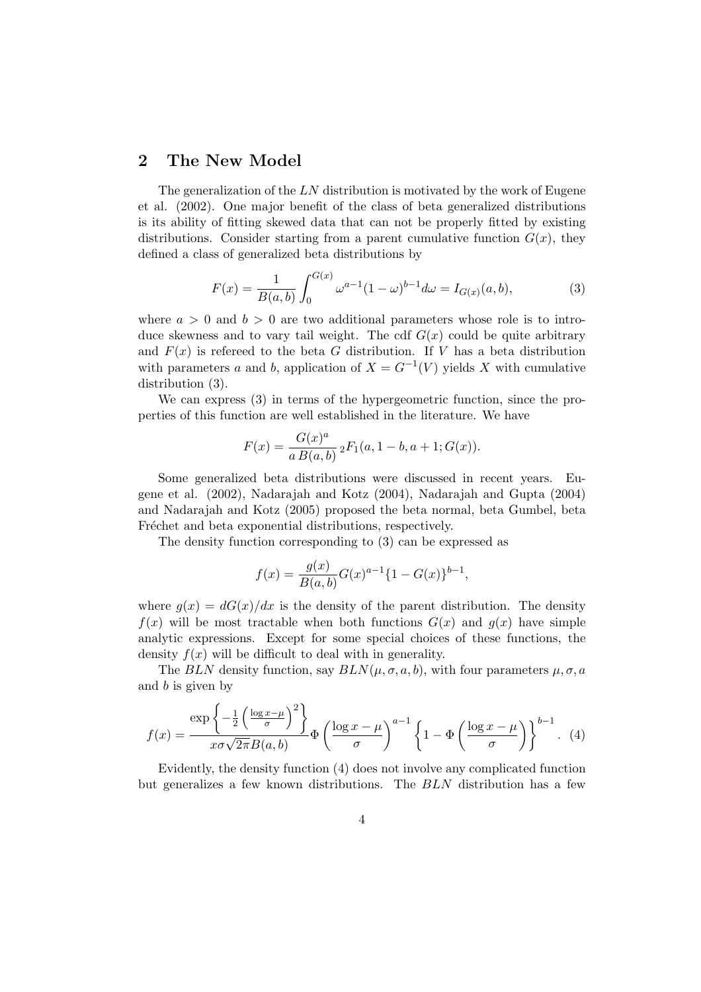#### 2 The New Model

The generalization of the  $LN$  distribution is motivated by the work of Eugene et al. (2002). One major benefit of the class of beta generalized distributions is its ability of fitting skewed data that can not be properly fitted by existing distributions. Consider starting from a parent cumulative function  $G(x)$ , they defined a class of generalized beta distributions by

$$
F(x) = \frac{1}{B(a,b)} \int_0^{G(x)} \omega^{a-1} (1-\omega)^{b-1} d\omega = I_{G(x)}(a,b),
$$
 (3)

where  $a > 0$  and  $b > 0$  are two additional parameters whose role is to introduce skewness and to vary tail weight. The cdf  $G(x)$  could be quite arbitrary and  $F(x)$  is referred to the beta G distribution. If V has a beta distribution with parameters a and b, application of  $X = G^{-1}(V)$  yields X with cumulative distribution (3).

We can express  $(3)$  in terms of the hypergeometric function, since the properties of this function are well established in the literature. We have

$$
F(x) = \frac{G(x)^a}{a B(a, b)} \, {}_2F_1(a, 1 - b, a + 1; G(x)).
$$

Some generalized beta distributions were discussed in recent years. Eugene et al. (2002), Nadarajah and Kotz (2004), Nadarajah and Gupta (2004) and Nadarajah and Kotz (2005) proposed the beta normal, beta Gumbel, beta Fréchet and beta exponential distributions, respectively.

The density function corresponding to (3) can be expressed as

$$
f(x) = \frac{g(x)}{B(a,b)}G(x)^{a-1}\{1 - G(x)\}^{b-1},
$$

where  $g(x) = dG(x)/dx$  is the density of the parent distribution. The density  $f(x)$  will be most tractable when both functions  $G(x)$  and  $g(x)$  have simple analytic expressions. Except for some special choices of these functions, the density  $f(x)$  will be difficult to deal with in generality.

The BLN density function, say  $BLN(\mu, \sigma, a, b)$ , with four parameters  $\mu, \sigma, a$ and  $b$  is given by

$$
f(x) = \frac{\exp\left\{-\frac{1}{2}\left(\frac{\log x - \mu}{\sigma}\right)^2\right\}}{x\sigma\sqrt{2\pi}B(a,b)}\Phi\left(\frac{\log x - \mu}{\sigma}\right)^{a-1}\left\{1 - \Phi\left(\frac{\log x - \mu}{\sigma}\right)\right\}^{b-1}.
$$
 (4)

Evidently, the density function (4) does not involve any complicated function but generalizes a few known distributions. The BLN distribution has a few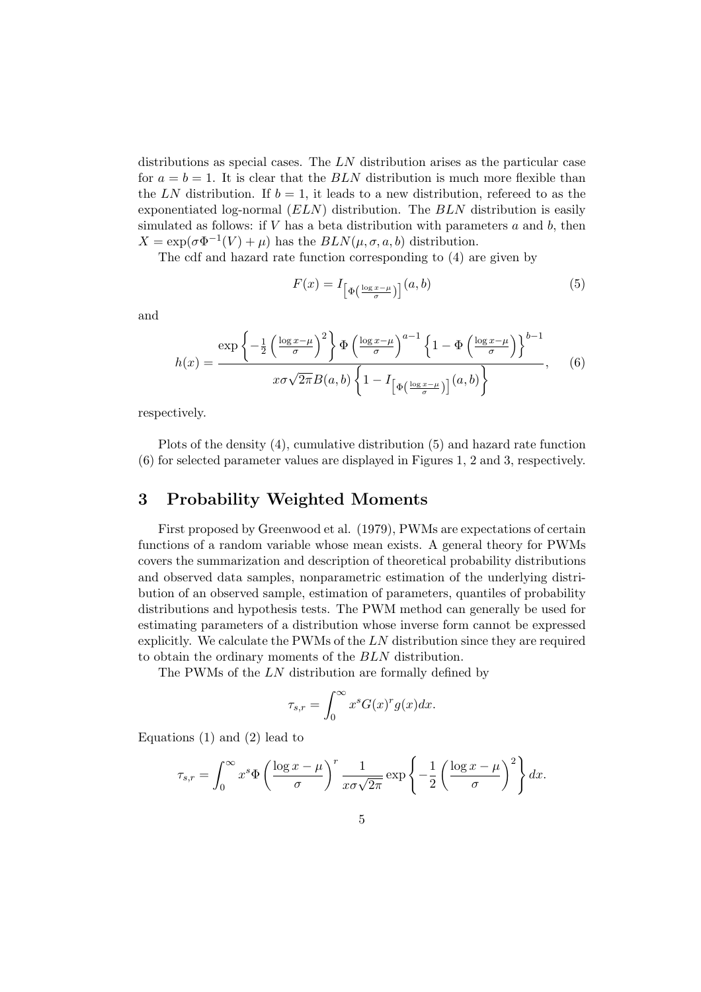distributions as special cases. The LN distribution arises as the particular case for  $a = b = 1$ . It is clear that the BLN distribution is much more flexible than the LN distribution. If  $b = 1$ , it leads to a new distribution, referred to as the exponentiated log-normal  $(ELN)$  distribution. The  $BLN$  distribution is easily simulated as follows: if  $V$  has a beta distribution with parameters  $a$  and  $b$ , then  $X = \exp(\sigma \Phi^{-1}(V) + \mu)$  has the  $BLN(\mu, \sigma, a, b)$  distribution.

The cdf and hazard rate function corresponding to (4) are given by

$$
F(x) = I_{\left[\Phi\left(\frac{\log x - \mu}{\sigma}\right)\right]}(a, b) \tag{5}
$$

and

$$
h(x) = \frac{\exp\left\{-\frac{1}{2}\left(\frac{\log x - \mu}{\sigma}\right)^2\right\}\Phi\left(\frac{\log x - \mu}{\sigma}\right)^{a-1}\left\{1 - \Phi\left(\frac{\log x - \mu}{\sigma}\right)\right\}^{b-1}}{x\sigma\sqrt{2\pi}B(a,b)\left\{1 - I_{\left[\Phi\left(\frac{\log x - \mu}{\sigma}\right)\right]}(a,b)\right\}},\tag{6}
$$

respectively.

Plots of the density (4), cumulative distribution (5) and hazard rate function (6) for selected parameter values are displayed in Figures 1, 2 and 3, respectively.

#### 3 Probability Weighted Moments

First proposed by Greenwood et al. (1979), PWMs are expectations of certain functions of a random variable whose mean exists. A general theory for PWMs covers the summarization and description of theoretical probability distributions and observed data samples, nonparametric estimation of the underlying distribution of an observed sample, estimation of parameters, quantiles of probability distributions and hypothesis tests. The PWM method can generally be used for estimating parameters of a distribution whose inverse form cannot be expressed explicitly. We calculate the PWMs of the LN distribution since they are required to obtain the ordinary moments of the BLN distribution.

The PWMs of the LN distribution are formally defined by

$$
\tau_{s,r} = \int_0^\infty x^s G(x)^r g(x) dx.
$$

Equations (1) and (2) lead to

$$
\tau_{s,r} = \int_0^\infty x^s \Phi\left(\frac{\log x - \mu}{\sigma}\right)^r \frac{1}{x\sigma\sqrt{2\pi}} \exp\left\{-\frac{1}{2}\left(\frac{\log x - \mu}{\sigma}\right)^2\right\} dx.
$$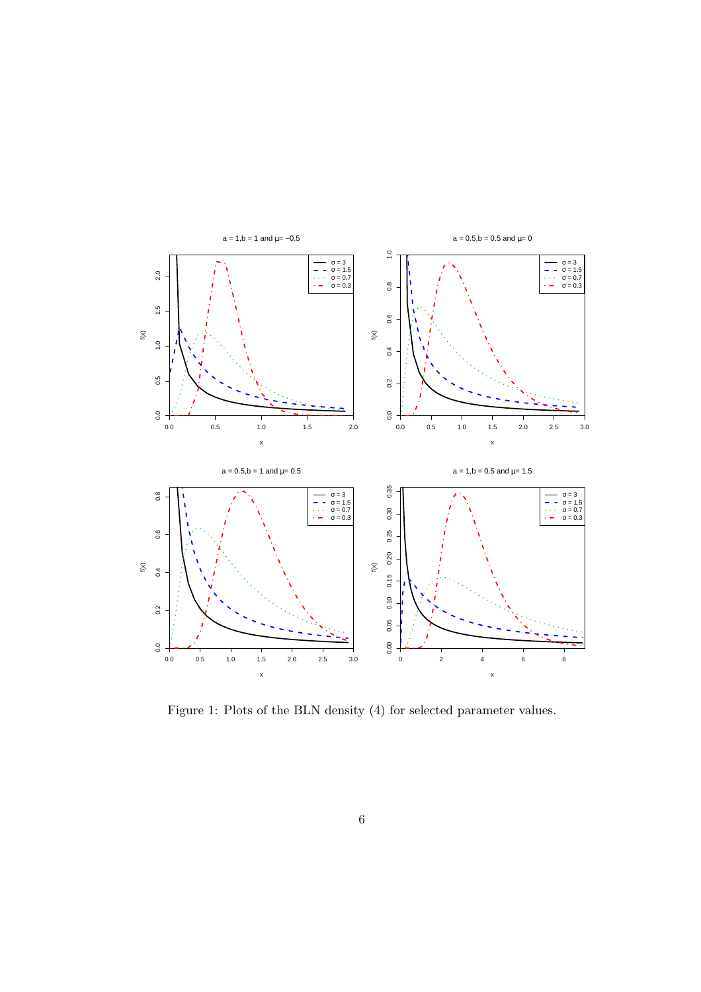

Figure 1: Plots of the BLN density (4) for selected parameter values.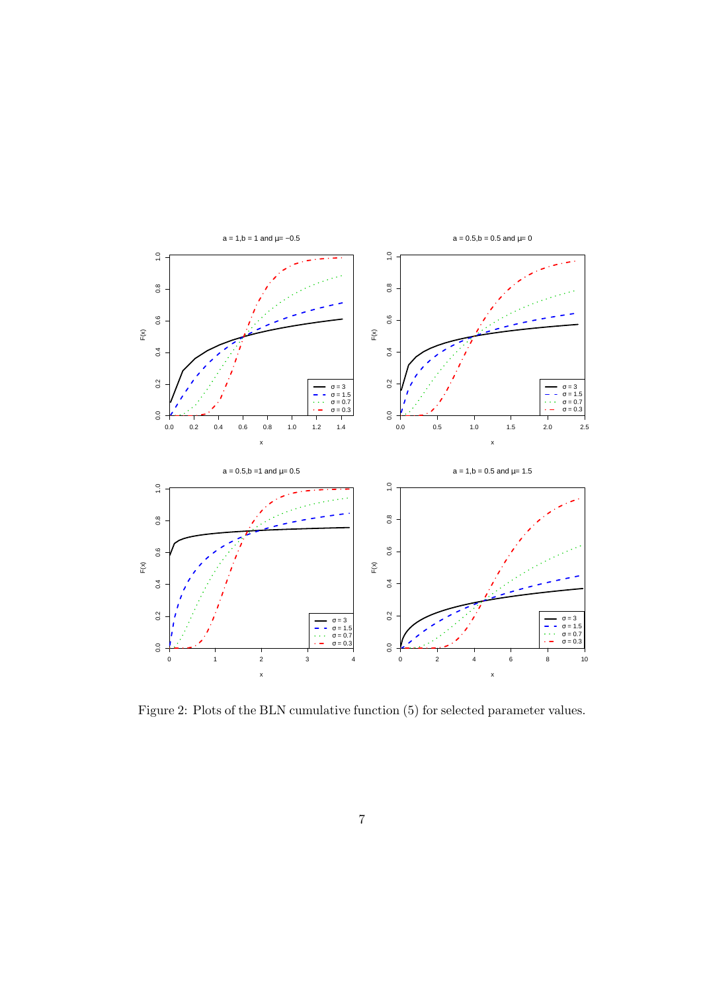

Figure 2: Plots of the BLN cumulative function (5) for selected parameter values.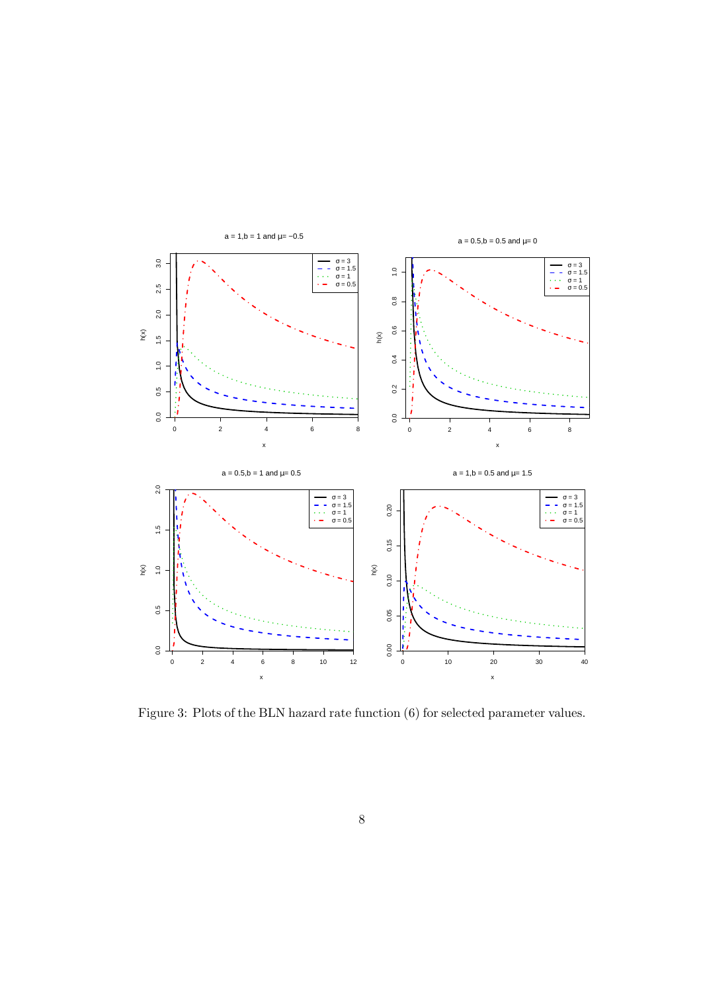

Figure 3: Plots of the BLN hazard rate function (6) for selected parameter values.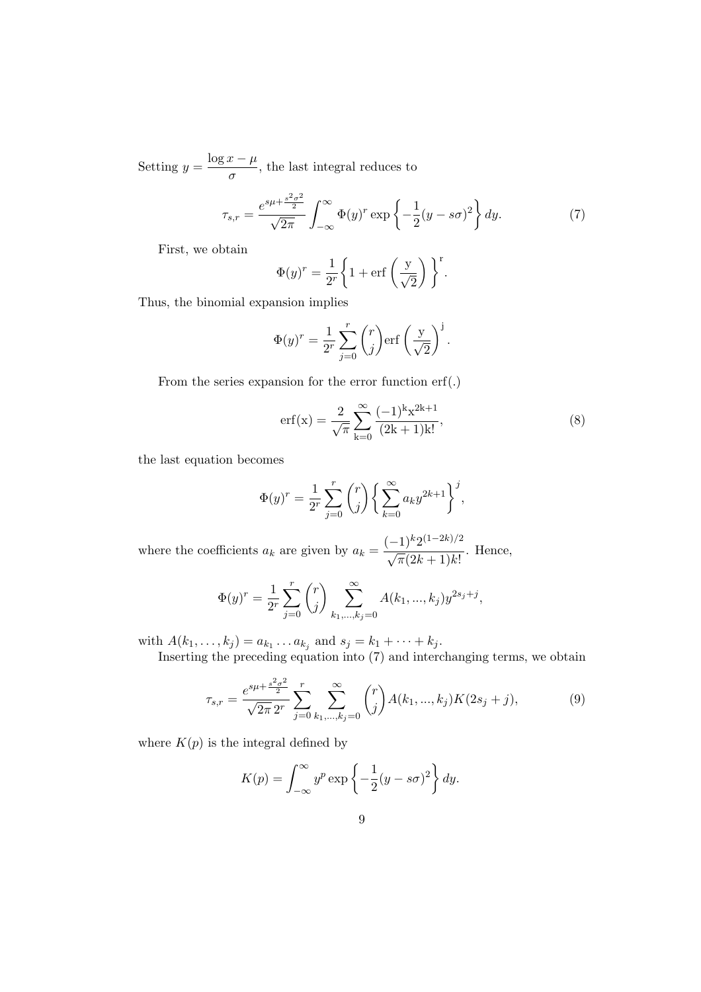Setting  $y = \frac{\log x - \mu}{\ln x}$  $\frac{\sigma}{\sigma}$ , the last integral reduces to

$$
\tau_{s,r} = \frac{e^{s\mu + \frac{s^2\sigma^2}{2}}}{\sqrt{2\pi}} \int_{-\infty}^{\infty} \Phi(y)^r \exp\left\{-\frac{1}{2}(y - s\sigma)^2\right\} dy.
$$
 (7)

First, we obtain

$$
\Phi(y)^r = \frac{1}{2^r} \bigg\{ 1 + \text{erf}\left(\frac{y}{\sqrt{2}}\right) \bigg\}^r.
$$

Thus, the binomial expansion implies

$$
\Phi(y)^r = \frac{1}{2^r} \sum_{j=0}^r \binom{r}{j} \text{erf}\left(\frac{y}{\sqrt{2}}\right)^j.
$$

From the series expansion for the error function erf(.)

$$
erf(x) = \frac{2}{\sqrt{\pi}} \sum_{k=0}^{\infty} \frac{(-1)^k x^{2k+1}}{(2k+1)k!},
$$
\n(8)

the last equation becomes

$$
\Phi(y)^r = \frac{1}{2^r} \sum_{j=0}^r \binom{r}{j} \left\{ \sum_{k=0}^\infty a_k y^{2k+1} \right\}^j,
$$

where the coefficients  $a_k$  are given by  $a_k =$  $(-1)^k 2^{(1-2k)/2}$  $\frac{1}{\sqrt{\pi}(2k+1)k!}$ . Hence,

$$
\Phi(y)^r = \frac{1}{2^r} \sum_{j=0}^r \binom{r}{j} \sum_{k_1, \dots, k_j=0}^\infty A(k_1, \dots, k_j) y^{2s_j + j},
$$

with  $A(k_1,...,k_j) = a_{k_1}...a_{k_j}$  and  $s_j = k_1 + ... + k_j$ .

Inserting the preceding equation into (7) and interchanging terms, we obtain

$$
\tau_{s,r} = \frac{e^{s\mu + \frac{s^2\sigma^2}{2}}}{\sqrt{2\pi} 2^r} \sum_{j=0}^r \sum_{k_1,\dots,k_j=0}^\infty \binom{r}{j} A(k_1,\dots,k_j) K(2s_j + j),\tag{9}
$$

where  $K(p)$  is the integral defined by

$$
K(p) = \int_{-\infty}^{\infty} y^p \exp\left\{-\frac{1}{2}(y - s\sigma)^2\right\} dy.
$$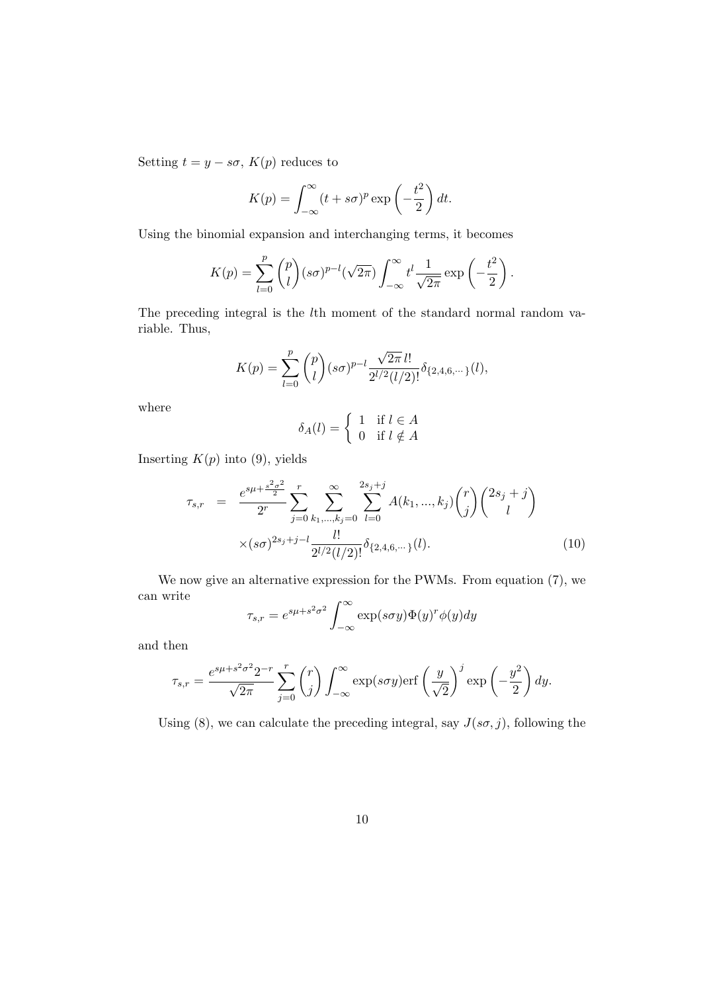Setting  $t = y - s\sigma$ ,  $K(p)$  reduces to

$$
K(p) = \int_{-\infty}^{\infty} (t + s\sigma)^p \exp\left(-\frac{t^2}{2}\right) dt.
$$

Using the binomial expansion and interchanging terms, it becomes

$$
K(p) = \sum_{l=0}^{p} {p \choose l} (s\sigma)^{p-l} (\sqrt{2\pi}) \int_{-\infty}^{\infty} t^l \frac{1}{\sqrt{2\pi}} \exp\left(-\frac{t^2}{2}\right).
$$

The preceding integral is the lth moment of the standard normal random variable. Thus,

$$
K(p) = \sum_{l=0}^{p} {p \choose l} (s\sigma)^{p-l} \frac{\sqrt{2\pi} \, l!}{2^{l/2} (l/2)!} \delta_{\{2,4,6,\cdots\}}(l),
$$

where

$$
\delta_A(l) = \begin{cases} 1 & \text{if } l \in A \\ 0 & \text{if } l \notin A \end{cases}
$$

Inserting  $K(p)$  into (9), yields

$$
\tau_{s,r} = \frac{e^{s\mu + \frac{s^2\sigma^2}{2}}}{2^r} \sum_{j=0}^r \sum_{k_1,\dots,k_j=0}^\infty \sum_{l=0}^{2s_j+j} A(k_1,\dots,k_j) \binom{r}{j} \binom{2s_j+j}{l} \times (s\sigma)^{2s_j+j-l} \frac{l!}{2^{l/2}(l/2)!} \delta_{\{2,4,6,\dots\}}(l). \tag{10}
$$

We now give an alternative expression for the PWMs. From equation (7), we can write  $r^{\infty}$ 

$$
\tau_{s,r} = e^{s\mu + s^2 \sigma^2} \int_{-\infty}^{\infty} \exp(s\sigma y) \Phi(y)^r \phi(y) dy
$$

and then

$$
\tau_{s,r} = \frac{e^{s\mu + s^2 \sigma^2} 2^{-r}}{\sqrt{2\pi}} \sum_{j=0}^r \binom{r}{j} \int_{-\infty}^{\infty} \exp(s\sigma y) \text{erf}\left(\frac{y}{\sqrt{2}}\right)^j \exp\left(-\frac{y^2}{2}\right) dy.
$$

Using (8), we can calculate the preceding integral, say  $J(s\sigma, j)$ , following the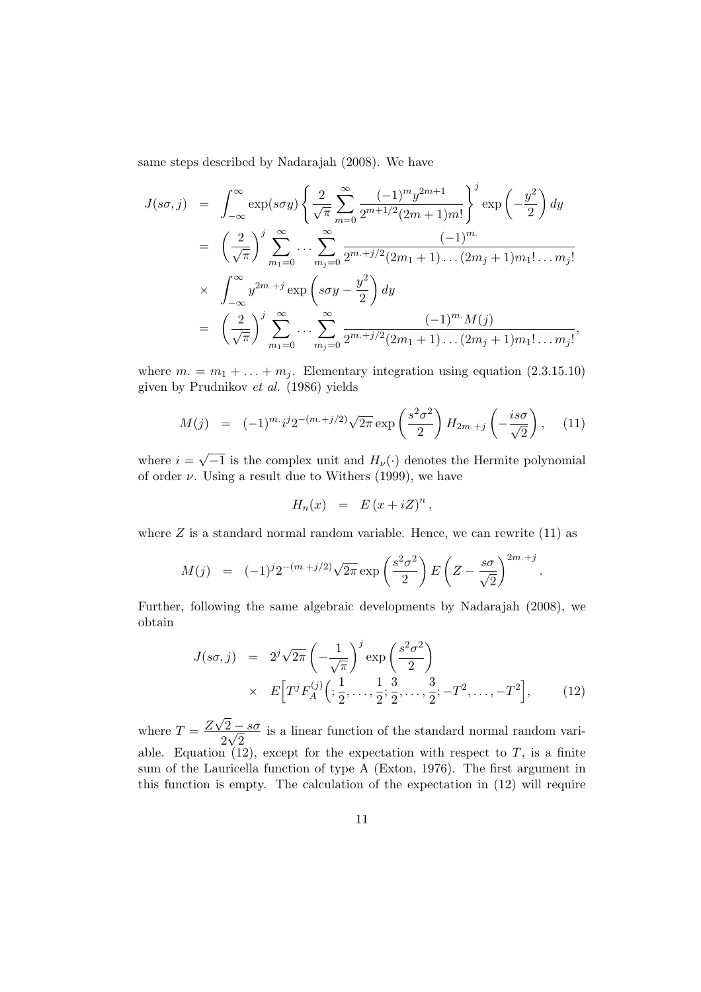same steps described by Nadarajah (2008). We have

$$
J(s\sigma, j) = \int_{-\infty}^{\infty} \exp(s\sigma y) \left\{ \frac{2}{\sqrt{\pi}} \sum_{m=0}^{\infty} \frac{(-1)^m y^{2m+1}}{2^{m+1/2} (2m+1)m!} \right\}^j \exp\left(-\frac{y^2}{2}\right) dy
$$
  
\n
$$
= \left(\frac{2}{\sqrt{\pi}}\right)^j \sum_{m_1=0}^{\infty} \dots \sum_{m_j=0}^{\infty} \frac{(-1)^{m}}{2^{m+j/2} (2m_1+1) \dots (2m_j+1)m_1! \dots m_j!}
$$
  
\n
$$
\times \int_{-\infty}^{\infty} y^{2m+j} \exp\left(s\sigma y - \frac{y^2}{2}\right) dy
$$
  
\n
$$
= \left(\frac{2}{\sqrt{\pi}}\right)^j \sum_{m_1=0}^{\infty} \dots \sum_{m_j=0}^{\infty} \frac{(-1)^{m} M(j)}{2^{m+j/2} (2m_1+1) \dots (2m_j+1)m_1! \dots m_j!},
$$

where  $m_{\cdot} = m_1 + \ldots + m_j$ . Elementary integration using equation (2.3.15.10) given by Prudnikov et al. (1986) yields

$$
M(j) = (-1)^{m} i^j 2^{-(m+j/2)} \sqrt{2\pi} \exp\left(\frac{s^2 \sigma^2}{2}\right) H_{2m+j}\left(-\frac{is\sigma}{\sqrt{2}}\right), \quad (11)
$$

where  $i =$  $\overline{-1}$  is the complex unit and  $H_{\nu}(\cdot)$  denotes the Hermite polynomial of order  $\nu$ . Using a result due to Withers (1999), we have

$$
H_n(x) = E(x + iZ)^n,
$$

where  $Z$  is a standard normal random variable. Hence, we can rewrite  $(11)$  as

$$
M(j) = (-1)^{j} 2^{-(m+j/2)} \sqrt{2\pi} \exp\left(\frac{s^2 \sigma^2}{2}\right) E\left(Z - \frac{s\sigma}{\sqrt{2}}\right)^{2m+j}
$$

Further, following the same algebraic developments by Nadarajah (2008), we obtain

$$
J(s\sigma, j) = 2^{j} \sqrt{2\pi} \left( -\frac{1}{\sqrt{\pi}} \right)^{j} \exp\left( \frac{s^{2} \sigma^{2}}{2} \right)
$$
  
 
$$
\times E\Big[T^{j} F_{A}^{(j)}\Big(\frac{1}{2}, \dots, \frac{1}{2}; \frac{3}{2}, \dots, \frac{3}{2}; -T^{2}, \dots, -T^{2}\Big], \qquad (12)
$$

.

where  $T = \frac{Z}{Z}$ √  $2 - s\sigma$ 2 √ 2 is a linear function of the standard normal random variable. Equation (12), except for the expectation with respect to  $T$ , is a finite sum of the Lauricella function of type A (Exton, 1976). The first argument in this function is empty. The calculation of the expectation in (12) will require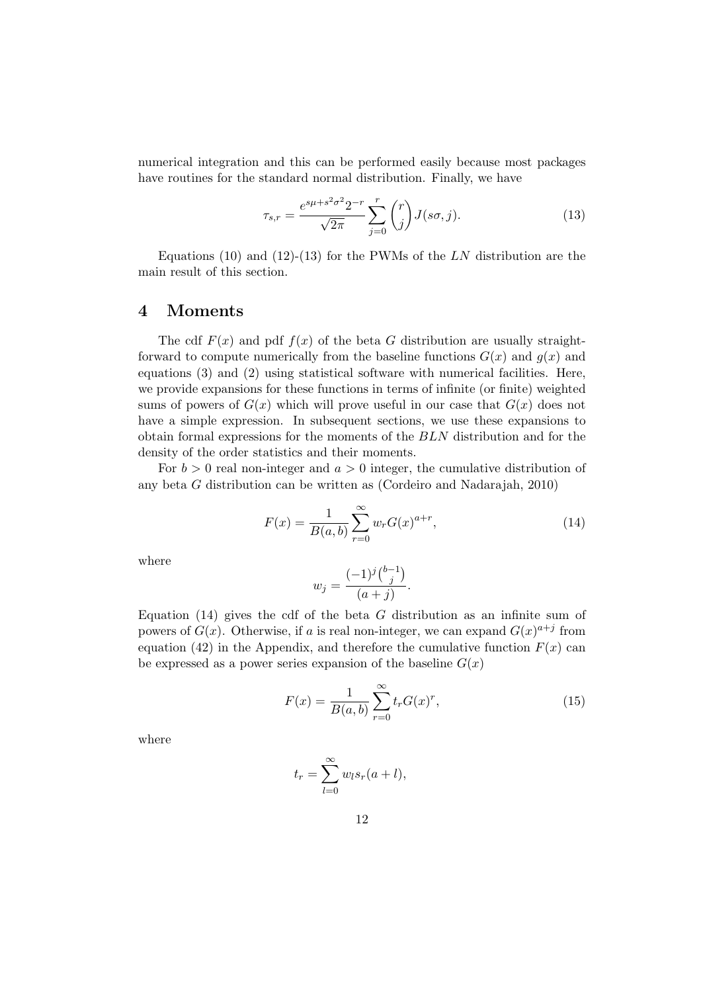numerical integration and this can be performed easily because most packages have routines for the standard normal distribution. Finally, we have

$$
\tau_{s,r} = \frac{e^{s\mu + s^2 \sigma^2} 2^{-r}}{\sqrt{2\pi}} \sum_{j=0}^r \binom{r}{j} J(s\sigma, j).
$$
 (13)

Equations (10) and (12)-(13) for the PWMs of the  $LN$  distribution are the main result of this section.

#### 4 Moments

The cdf  $F(x)$  and pdf  $f(x)$  of the beta G distribution are usually straightforward to compute numerically from the baseline functions  $G(x)$  and  $g(x)$  and equations (3) and (2) using statistical software with numerical facilities. Here, we provide expansions for these functions in terms of infinite (or finite) weighted sums of powers of  $G(x)$  which will prove useful in our case that  $G(x)$  does not have a simple expression. In subsequent sections, we use these expansions to obtain formal expressions for the moments of the BLN distribution and for the density of the order statistics and their moments.

For  $b > 0$  real non-integer and  $a > 0$  integer, the cumulative distribution of any beta G distribution can be written as (Cordeiro and Nadarajah, 2010)

$$
F(x) = \frac{1}{B(a,b)} \sum_{r=0}^{\infty} w_r G(x)^{a+r},
$$
\n(14)

.

where

$$
w_j = \frac{(-1)^j {b-1 \choose j}}{(a+j)}
$$

Equation  $(14)$  gives the cdf of the beta G distribution as an infinite sum of powers of  $G(x)$ . Otherwise, if a is real non-integer, we can expand  $G(x)^{a+j}$  from equation (42) in the Appendix, and therefore the cumulative function  $F(x)$  can be expressed as a power series expansion of the baseline  $G(x)$ 

$$
F(x) = \frac{1}{B(a,b)} \sum_{r=0}^{\infty} t_r G(x)^r,
$$
\n(15)

where

$$
t_r = \sum_{l=0}^{\infty} w_l s_r(a+l),
$$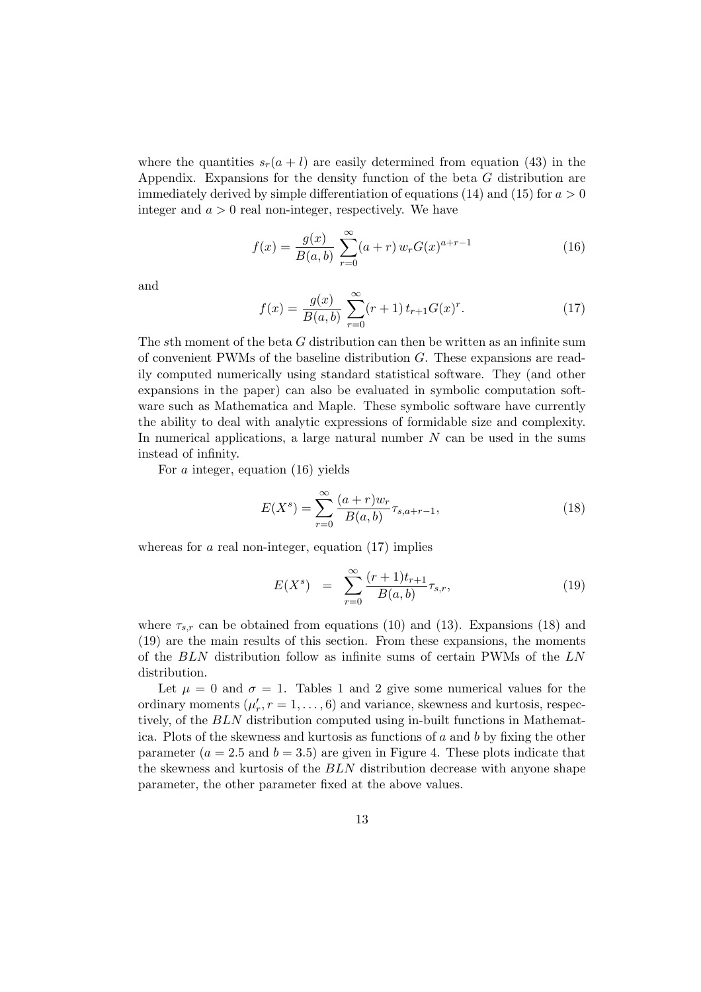where the quantities  $s_r(a + l)$  are easily determined from equation (43) in the Appendix. Expansions for the density function of the beta G distribution are immediately derived by simple differentiation of equations (14) and (15) for  $a > 0$ integer and  $a > 0$  real non-integer, respectively. We have

$$
f(x) = \frac{g(x)}{B(a,b)} \sum_{r=0}^{\infty} (a+r) w_r G(x)^{a+r-1}
$$
 (16)

and

$$
f(x) = \frac{g(x)}{B(a,b)} \sum_{r=0}^{\infty} (r+1) t_{r+1} G(x)^r.
$$
 (17)

The sth moment of the beta  $G$  distribution can then be written as an infinite sum of convenient PWMs of the baseline distribution G. These expansions are readily computed numerically using standard statistical software. They (and other expansions in the paper) can also be evaluated in symbolic computation software such as Mathematica and Maple. These symbolic software have currently the ability to deal with analytic expressions of formidable size and complexity. In numerical applications, a large natural number  $N$  can be used in the sums instead of infinity.

For a integer, equation (16) yields

$$
E(X^s) = \sum_{r=0}^{\infty} \frac{(a+r)w_r}{B(a,b)} \tau_{s,a+r-1},
$$
\n(18)

whereas for  $a$  real non-integer, equation  $(17)$  implies

$$
E(X^{s}) = \sum_{r=0}^{\infty} \frac{(r+1)t_{r+1}}{B(a,b)} \tau_{s,r},
$$
\n(19)

where  $\tau_{s,r}$  can be obtained from equations (10) and (13). Expansions (18) and (19) are the main results of this section. From these expansions, the moments of the BLN distribution follow as infinite sums of certain PWMs of the LN distribution.

Let  $\mu = 0$  and  $\sigma = 1$ . Tables 1 and 2 give some numerical values for the ordinary moments  $(\mu'_r, r = 1, \ldots, 6)$  and variance, skewness and kurtosis, respectively, of the BLN distribution computed using in-built functions in Mathematica. Plots of the skewness and kurtosis as functions of a and b by fixing the other parameter  $(a = 2.5 \text{ and } b = 3.5)$  are given in Figure 4. These plots indicate that the skewness and kurtosis of the BLN distribution decrease with anyone shape parameter, the other parameter fixed at the above values.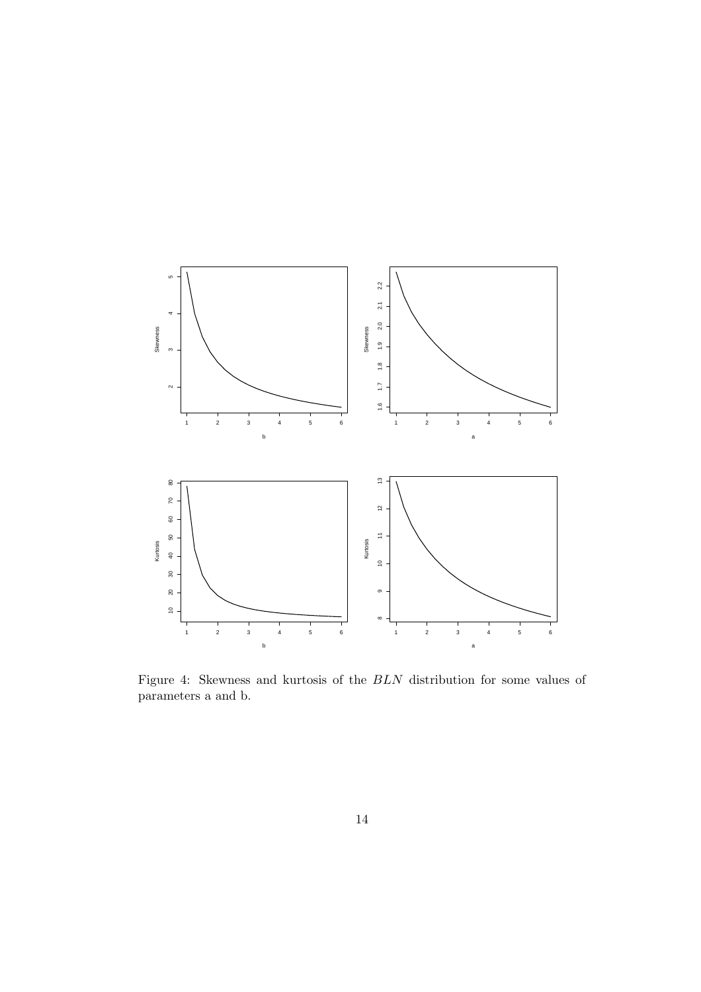

Figure 4: Skewness and kurtosis of the BLN distribution for some values of parameters a and b.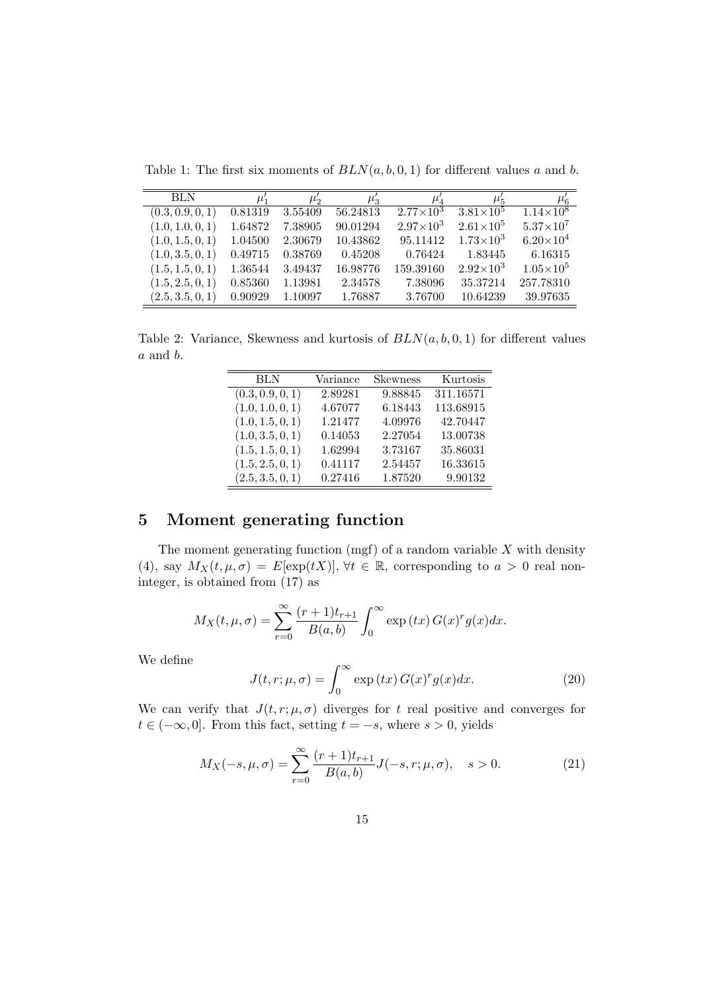Table 1: The first six moments of  $BLN(a, b, 0, 1)$  for different values a and b.

| <b>BLN</b>       | $\mu'_1$ | $\mu_2$ | $\mu_3$  | $\mu_4^{\cdot}$    | $\mu_{5}$          | $\mu'_6$           |
|------------------|----------|---------|----------|--------------------|--------------------|--------------------|
| (0.3, 0.9, 0, 1) | 0.81319  | 3.55409 | 56.24813 | $2.77 \times 10^3$ | $3.81\times10^{5}$ | $1.14\times10^{8}$ |
| (1.0, 1.0, 0, 1) | 1.64872  | 7.38905 | 90.01294 | $2.97\times10^{3}$ | $2.61\times10^{5}$ | $5.37\times10^{7}$ |
| (1.0, 1.5, 0, 1) | 1.04500  | 2.30679 | 10.43862 | 95.11412           | $1.73\times10^{3}$ | $6.20\times10^{4}$ |
| (1.0, 3.5, 0, 1) | 0.49715  | 0.38769 | 0.45208  | 0.76424            | 1.83445            | 6.16315            |
| (1.5, 1.5, 0, 1) | 1.36544  | 3.49437 | 16.98776 | 159.39160          | $2.92\times10^{3}$ | $1.05\times10^{5}$ |
| (1.5, 2.5, 0, 1) | 0.85360  | 1.13981 | 2.34578  | 7.38096            | 35.37214           | 257.78310          |
| (2.5, 3.5, 0, 1) | 0.90929  | 1.10097 | 1.76887  | 3.76700            | 10.64239           | 39.97635           |

Table 2: Variance, Skewness and kurtosis of  $BLN(a, b, 0, 1)$  for different values a and b.

| <b>BLN</b>       | Variance | <b>Skewness</b> | Kurtosis  |
|------------------|----------|-----------------|-----------|
| (0.3, 0.9, 0, 1) | 2.89281  | 9.88845         | 311.16571 |
| (1.0, 1.0, 0, 1) | 4.67077  | 6.18443         | 113.68915 |
| (1.0, 1.5, 0, 1) | 1.21477  | 4.09976         | 42.70447  |
| (1.0, 3.5, 0, 1) | 0.14053  | 2.27054         | 13.00738  |
| (1.5, 1.5, 0, 1) | 1.62994  | 3.73167         | 35.86031  |
| (1.5, 2.5, 0, 1) | 0.41117  | 2.54457         | 16.33615  |
| (2.5, 3.5, 0, 1) | 0.27416  | 1.87520         | 9.90132   |

# 5 Moment generating function

The moment generating function (mgf) of a random variable  $X$  with density (4), say  $M_X(t, \mu, \sigma) = E[\exp(tX)], \forall t \in \mathbb{R}$ , corresponding to  $a > 0$  real noninteger, is obtained from (17) as

$$
M_X(t,\mu,\sigma) = \sum_{r=0}^{\infty} \frac{(r+1)t_{r+1}}{B(a,b)} \int_0^{\infty} \exp(tx) G(x)^r g(x) dx.
$$

We define

$$
J(t, r; \mu, \sigma) = \int_0^\infty \exp(tx) G(x)^r g(x) dx.
$$
 (20)

We can verify that  $J(t, r; \mu, \sigma)$  diverges for t real positive and converges for  $t \in (-\infty, 0]$ . From this fact, setting  $t = -s$ , where  $s > 0$ , yields

$$
M_X(-s,\mu,\sigma) = \sum_{r=0}^{\infty} \frac{(r+1)t_{r+1}}{B(a,b)} J(-s,r;\mu,\sigma), \quad s > 0.
$$
 (21)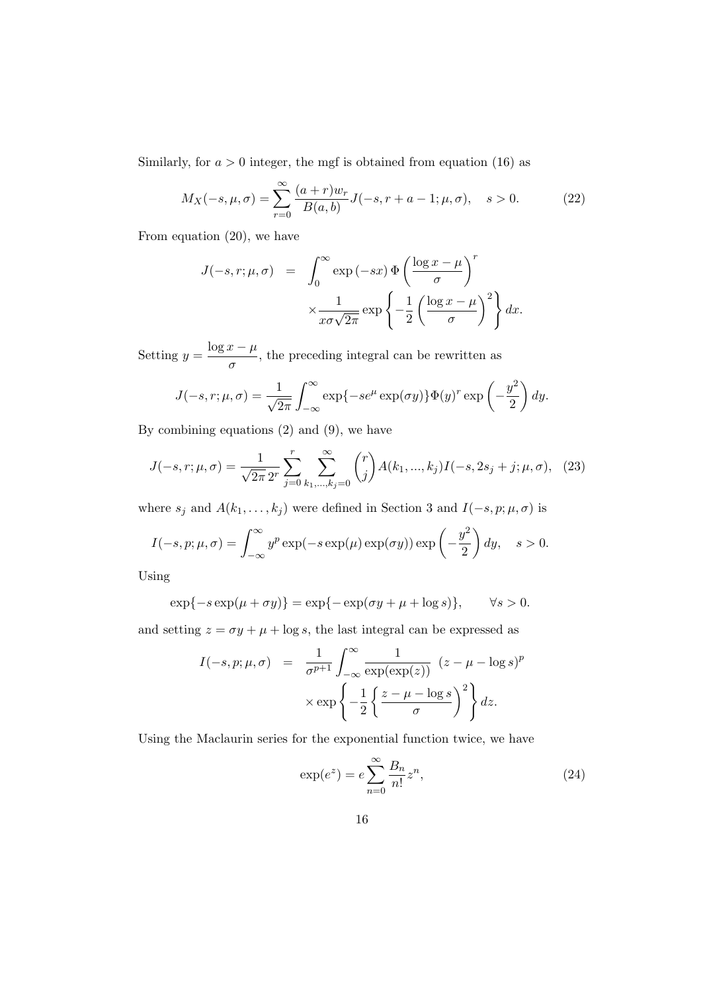Similarly, for  $a > 0$  integer, the mgf is obtained from equation (16) as

$$
M_X(-s,\mu,\sigma) = \sum_{r=0}^{\infty} \frac{(a+r)w_r}{B(a,b)} J(-s,r+a-1;\mu,\sigma), \quad s > 0.
$$
 (22)

From equation (20), we have

$$
J(-s,r;\mu,\sigma) = \int_0^\infty \exp(-sx) \Phi\left(\frac{\log x - \mu}{\sigma}\right)^r
$$

$$
\times \frac{1}{x\sigma\sqrt{2\pi}} \exp\left\{-\frac{1}{2}\left(\frac{\log x - \mu}{\sigma}\right)^2\right\} dx.
$$

Setting  $y = \frac{\log x - \mu}{\ln x}$  $\frac{\partial}{\partial \sigma}$ , the preceding integral can be rewritten as

$$
J(-s,r;\mu,\sigma) = \frac{1}{\sqrt{2\pi}} \int_{-\infty}^{\infty} \exp\{-se^{\mu} \exp(\sigma y)\} \Phi(y)^{r} \exp\left(-\frac{y^{2}}{2}\right) dy.
$$

By combining equations (2) and (9), we have

$$
J(-s,r;\mu,\sigma) = \frac{1}{\sqrt{2\pi} \, 2^r} \sum_{j=0}^r \sum_{k_1,\dots,k_j=0}^\infty \binom{r}{j} A(k_1,\dots,k_j) I(-s, 2s_j + j; \mu, \sigma), \tag{23}
$$

where  $s_j$  and  $A(k_1, \ldots, k_j)$  were defined in Section 3 and  $I(-s, p; \mu, \sigma)$  is

$$
I(-s, p; \mu, \sigma) = \int_{-\infty}^{\infty} y^p \exp(-s \exp(\mu) \exp(\sigma y)) \exp\left(-\frac{y^2}{2}\right) dy, \quad s > 0.
$$

Using

$$
\exp\{-s\exp(\mu+\sigma y)\} = \exp\{-\exp(\sigma y + \mu + \log s)\}, \qquad \forall s > 0.
$$

and setting  $z = \sigma y + \mu + \log s$ , the last integral can be expressed as

$$
I(-s, p; \mu, \sigma) = \frac{1}{\sigma^{p+1}} \int_{-\infty}^{\infty} \frac{1}{\exp(\exp(z))} (z - \mu - \log s)^p
$$

$$
\times \exp\left\{-\frac{1}{2} \left\{\frac{z - \mu - \log s}{\sigma}\right\}^2\right\} dz.
$$

Using the Maclaurin series for the exponential function twice, we have

$$
\exp(e^z) = e \sum_{n=0}^{\infty} \frac{B_n}{n!} z^n,
$$
\n(24)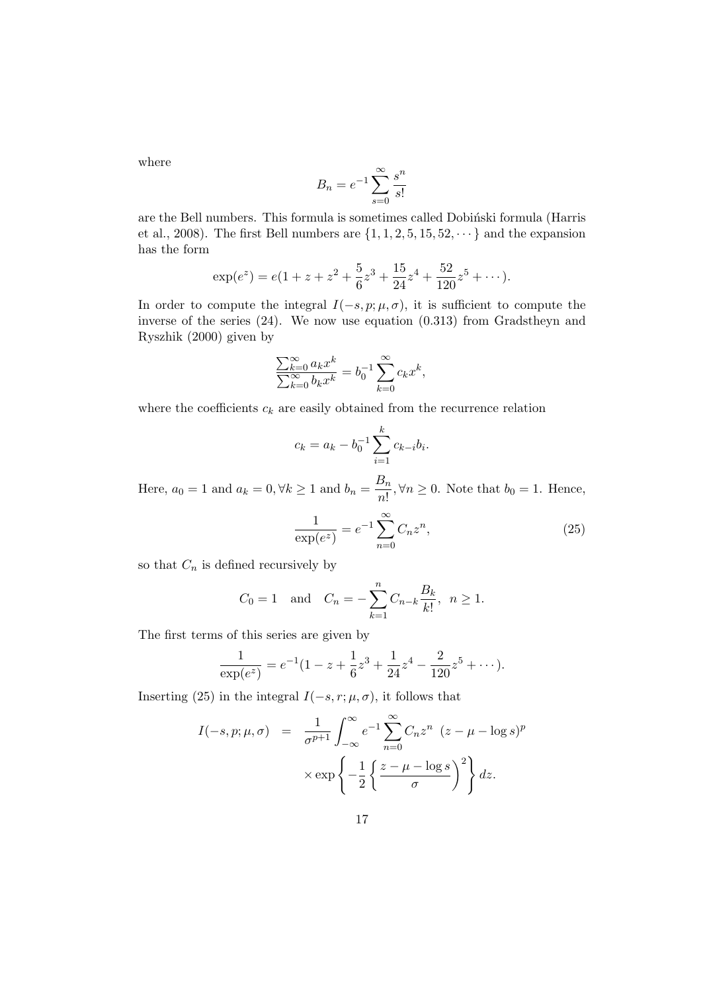where

$$
B_n = e^{-1} \sum_{s=0}^{\infty} \frac{s^n}{s!}
$$

are the Bell numbers. This formula is sometimes called Dobinski formula (Harris et al., 2008). The first Bell numbers are  $\{1, 1, 2, 5, 15, 52, \dots\}$  and the expansion has the form

$$
\exp(e^z) = e(1 + z + z^2 + \frac{5}{6}z^3 + \frac{15}{24}z^4 + \frac{52}{120}z^5 + \cdots).
$$

In order to compute the integral  $I(-s, p; \mu, \sigma)$ , it is sufficient to compute the inverse of the series (24). We now use equation (0.313) from Gradstheyn and Ryszhik (2000) given by

$$
\frac{\sum_{k=0}^{\infty} a_k x^k}{\sum_{k=0}^{\infty} b_k x^k} = b_0^{-1} \sum_{k=0}^{\infty} c_k x^k,
$$

where the coefficients  $c_k$  are easily obtained from the recurrence relation

$$
c_k = a_k - b_0^{-1} \sum_{i=1}^k c_{k-i} b_i.
$$

Here,  $a_0 = 1$  and  $a_k = 0, \forall k \geq 1$  and  $b_n = \frac{B_n}{a_0!}$  $\frac{\partial n}{\partial n!}$ ,  $\forall n \geq 0$ . Note that  $b_0 = 1$ . Hence,

$$
\frac{1}{\exp(e^z)} = e^{-1} \sum_{n=0}^{\infty} C_n z^n,
$$
\n(25)

so that  $C_n$  is defined recursively by

$$
C_0 = 1
$$
 and  $C_n = -\sum_{k=1}^n C_{n-k} \frac{B_k}{k!}$ ,  $n \ge 1$ .

The first terms of this series are given by

$$
\frac{1}{\exp(e^z)} = e^{-1}(1 - z + \frac{1}{6}z^3 + \frac{1}{24}z^4 - \frac{2}{120}z^5 + \cdots).
$$

Inserting (25) in the integral  $I(-s, r; \mu, \sigma)$ , it follows that

$$
I(-s, p; \mu, \sigma) = \frac{1}{\sigma^{p+1}} \int_{-\infty}^{\infty} e^{-1} \sum_{n=0}^{\infty} C_n z^n (z - \mu - \log s)^p
$$

$$
\times \exp\left\{-\frac{1}{2} \left\{\frac{z - \mu - \log s}{\sigma}\right\}^2\right\} dz.
$$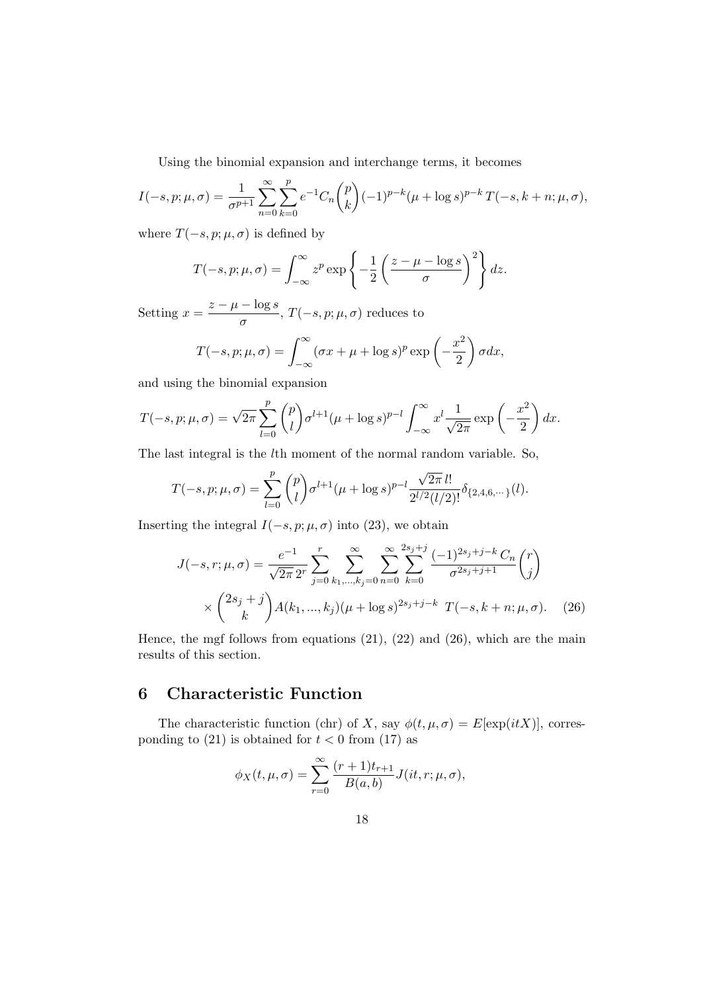Using the binomial expansion and interchange terms, it becomes

$$
I(-s, p; \mu, \sigma) = \frac{1}{\sigma^{p+1}} \sum_{n=0}^{\infty} \sum_{k=0}^{p} e^{-1} C_n {p \choose k} (-1)^{p-k} (\mu + \log s)^{p-k} T(-s, k+n; \mu, \sigma),
$$

where  $T(-s, p; \mu, \sigma)$  is defined by

$$
T(-s, p; \mu, \sigma) = \int_{-\infty}^{\infty} z^p \exp\left\{-\frac{1}{2} \left(\frac{z-\mu - \log s}{\sigma}\right)^2\right\} dz.
$$

Setting  $x = \frac{z - \mu - \log s}{\sigma}$  $\frac{\log b}{\sigma}$ ,  $T(-s, p; \mu, \sigma)$  reduces to

$$
T(-s, p; \mu, \sigma) = \int_{-\infty}^{\infty} (\sigma x + \mu + \log s)^p \exp\left(-\frac{x^2}{2}\right) \sigma dx,
$$

and using the binomial expansion

$$
T(-s, p; \mu, \sigma) = \sqrt{2\pi} \sum_{l=0}^{p} {p \choose l} \sigma^{l+1} (\mu + \log s)^{p-l} \int_{-\infty}^{\infty} x^{l} \frac{1}{\sqrt{2\pi}} \exp\left(-\frac{x^{2}}{2}\right) dx.
$$

The last integral is the lth moment of the normal random variable. So,

$$
T(-s, p; \mu, \sigma) = \sum_{l=0}^{p} {p \choose l} \sigma^{l+1} (\mu + \log s)^{p-l} \frac{\sqrt{2\pi} \, l!}{2^{l/2} (l/2)!} \delta_{\{2, 4, 6, \cdots \}}(l).
$$

Inserting the integral  $I(-s, p; \mu, \sigma)$  into (23), we obtain

$$
J(-s,r;\mu,\sigma) = \frac{e^{-1}}{\sqrt{2\pi} 2^r} \sum_{j=0}^r \sum_{k_1,\dots,k_j=0}^\infty \sum_{n=0}^\infty \sum_{k=0}^{2s_j+j} \frac{(-1)^{2s_j+j-k} C_n}{\sigma^{2s_j+j+1}} \binom{r}{j}
$$

$$
\times \binom{2s_j+j}{k} A(k_1,\dots,k_j) (\mu + \log s)^{2s_j+j-k} T(-s,k+n;\mu,\sigma). \tag{26}
$$

Hence, the mgf follows from equations  $(21)$ ,  $(22)$  and  $(26)$ , which are the main results of this section.

# 6 Characteristic Function

The characteristic function (chr) of X, say  $\phi(t, \mu, \sigma) = E[\exp(itX)]$ , corresponding to (21) is obtained for  $t < 0$  from (17) as

$$
\phi_X(t,\mu,\sigma) = \sum_{r=0}^{\infty} \frac{(r+1)t_{r+1}}{B(a,b)} J(it,r;\mu,\sigma),
$$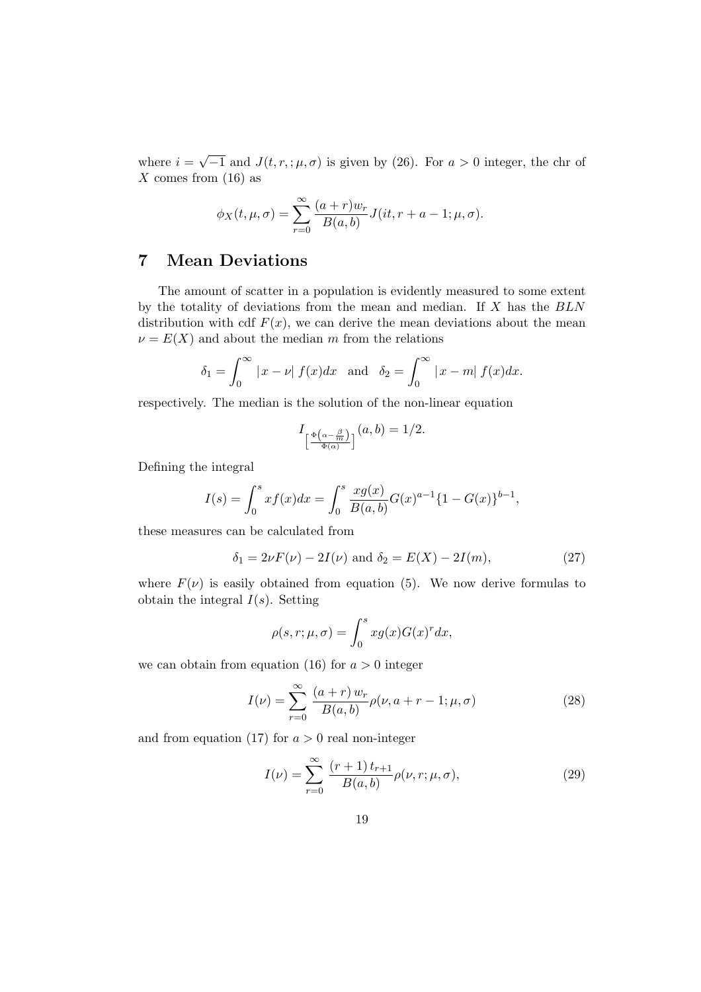where  $i =$ √  $\overline{-1}$  and  $J(t, r, ; \mu, \sigma)$  is given by (26). For  $a > 0$  integer, the chr of  $X$  comes from  $(16)$  as

$$
\phi_X(t,\mu,\sigma) = \sum_{r=0}^{\infty} \frac{(a+r)w_r}{B(a,b)} J(it, r+a-1; \mu, \sigma).
$$

## 7 Mean Deviations

The amount of scatter in a population is evidently measured to some extent by the totality of deviations from the mean and median. If  $X$  has the  $BLN$ distribution with cdf  $F(x)$ , we can derive the mean deviations about the mean  $\nu = E(X)$  and about the median m from the relations

$$
\delta_1 = \int_0^\infty |x - \nu| f(x) dx \text{ and } \delta_2 = \int_0^\infty |x - m| f(x) dx.
$$

respectively. The median is the solution of the non-linear equation

$$
I_{\left[\frac{\Phi\left(\alpha-\frac{\beta}{m}\right)}{\Phi(\alpha)}\right]}(a,b)=1/2.
$$

Defining the integral

$$
I(s) = \int_0^s x f(x) dx = \int_0^s \frac{x g(x)}{B(a, b)} G(x)^{a-1} \{1 - G(x)\}^{b-1},
$$

these measures can be calculated from

$$
\delta_1 = 2\nu F(\nu) - 2I(\nu)
$$
 and  $\delta_2 = E(X) - 2I(m)$ , (27)

where  $F(\nu)$  is easily obtained from equation (5). We now derive formulas to obtain the integral  $I(s)$ . Setting

$$
\rho(s,r;\mu,\sigma) = \int_0^s x g(x) G(x)^r dx,
$$

we can obtain from equation (16) for  $a > 0$  integer

$$
I(\nu) = \sum_{r=0}^{\infty} \frac{(a+r) w_r}{B(a,b)} \rho(\nu, a+r-1; \mu, \sigma)
$$
 (28)

and from equation (17) for  $a > 0$  real non-integer

$$
I(\nu) = \sum_{r=0}^{\infty} \frac{(r+1) t_{r+1}}{B(a,b)} \rho(\nu, r; \mu, \sigma), \tag{29}
$$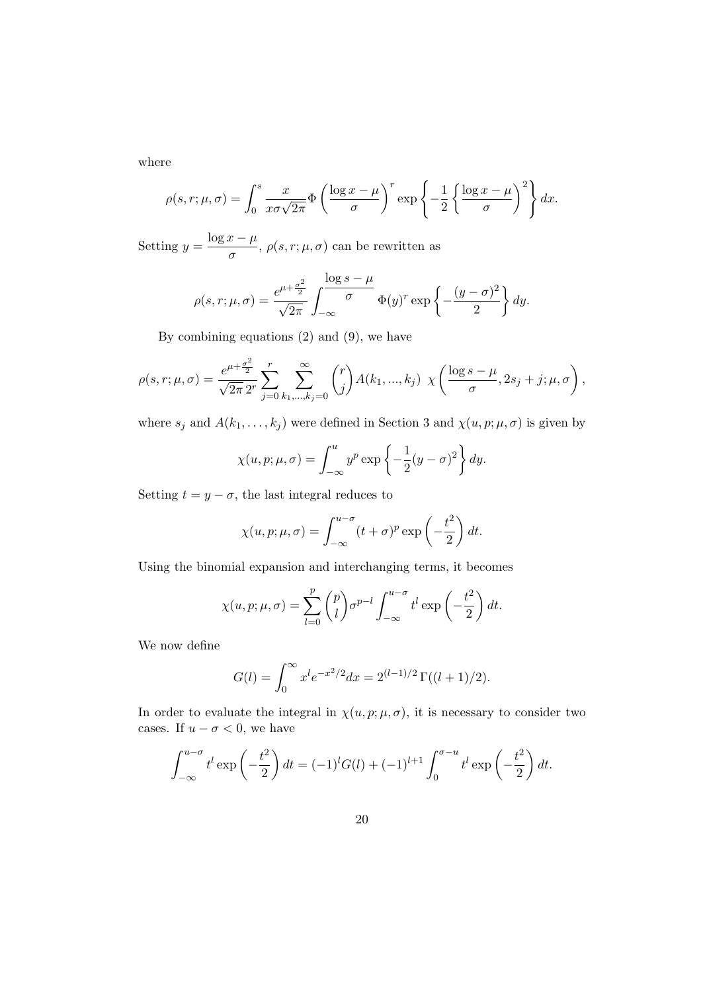where

$$
\rho(s,r;\mu,\sigma) = \int_0^s \frac{x}{x\sigma\sqrt{2\pi}} \Phi\left(\frac{\log x - \mu}{\sigma}\right)^r \exp\left\{-\frac{1}{2}\left\{\frac{\log x - \mu}{\sigma}\right\}^2\right\} dx.
$$

Setting  $y = \frac{\log x - \mu}{\ln x}$  $\frac{\partial}{\partial \sigma}$ ,  $\rho(s,r;\mu,\sigma)$  can be rewritten as

$$
\rho(s,r;\mu,\sigma) = \frac{e^{\mu + \frac{\sigma^2}{2}}}{\sqrt{2\pi}} \int_{-\infty}^{\infty} \frac{\log s - \mu}{\sigma} \Phi(y)^r \exp\left\{-\frac{(y-\sigma)^2}{2}\right\} dy.
$$

By combining equations (2) and (9), we have

$$
\rho(s,r;\mu,\sigma) = \frac{e^{\mu + \frac{\sigma^2}{2}}}{\sqrt{2\pi} 2^r} \sum_{j=0}^r \sum_{k_1,\dots,k_j=0}^\infty \binom{r}{j} A(k_1,\dots,k_j) \ \chi\left(\frac{\log s - \mu}{\sigma}, 2s_j + j; \mu, \sigma\right),
$$

where  $s_j$  and  $A(k_1, \ldots, k_j)$  were defined in Section 3 and  $\chi(u, p; \mu, \sigma)$  is given by

$$
\chi(u, p; \mu, \sigma) = \int_{-\infty}^{u} y^p \exp\left\{-\frac{1}{2}(y - \sigma)^2\right\} dy.
$$

Setting  $t = y - \sigma$ , the last integral reduces to

$$
\chi(u, p; \mu, \sigma) = \int_{-\infty}^{u-\sigma} (t + \sigma)^p \exp\left(-\frac{t^2}{2}\right) dt.
$$

Using the binomial expansion and interchanging terms, it becomes

$$
\chi(u, p; \mu, \sigma) = \sum_{l=0}^{p} {p \choose l} \sigma^{p-l} \int_{-\infty}^{u-\sigma} t^l \exp\left(-\frac{t^2}{2}\right) dt.
$$

We now define

$$
G(l) = \int_0^\infty x^l e^{-x^2/2} dx = 2^{(l-1)/2} \Gamma((l+1)/2).
$$

In order to evaluate the integral in  $\chi(u, p; \mu, \sigma)$ , it is necessary to consider two cases. If  $u - \sigma < 0$ , we have

$$
\int_{-\infty}^{u-\sigma} t^l \exp\left(-\frac{t^2}{2}\right) dt = (-1)^l G(l) + (-1)^{l+1} \int_0^{\sigma-u} t^l \exp\left(-\frac{t^2}{2}\right) dt.
$$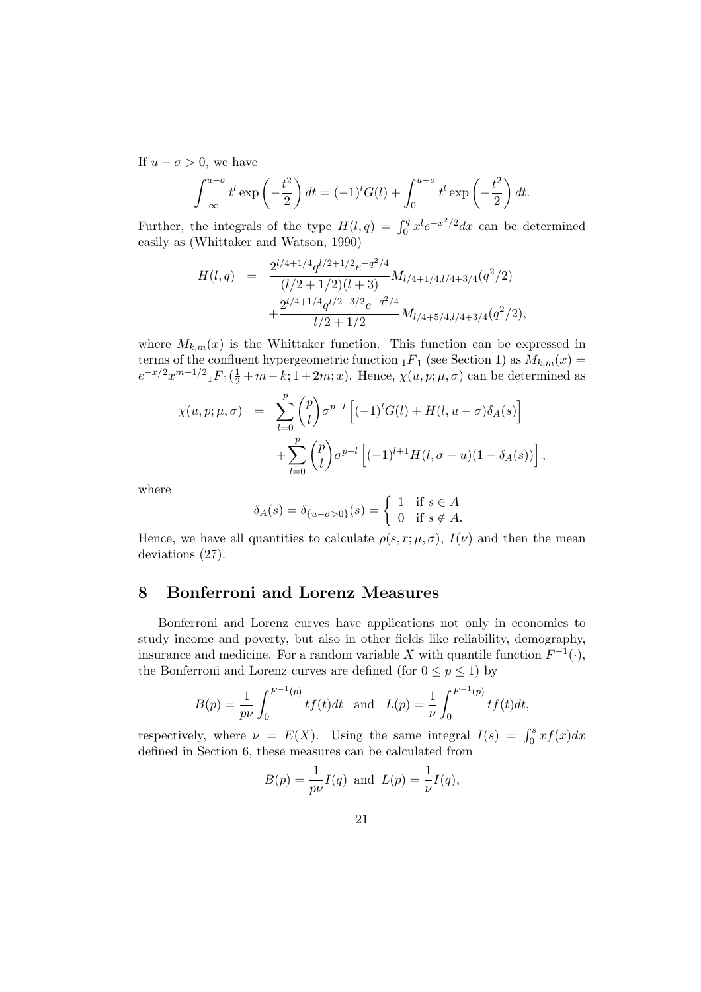If  $u - \sigma > 0$ , we have

$$
\int_{-\infty}^{u-\sigma} t^l \exp\left(-\frac{t^2}{2}\right) dt = (-1)^l G(l) + \int_0^{u-\sigma} t^l \exp\left(-\frac{t^2}{2}\right) dt.
$$

Further, the integrals of the type  $H(l,q) = \int_0^q x^l e^{-x^2/2} dx$  can be determined easily as (Whittaker and Watson, 1990)

$$
H(l,q) = \frac{2^{l/4+1/4}q^{l/2+1/2}e^{-q^2/4}}{(l/2+1/2)(l+3)}M_{l/4+1/4,l/4+3/4}(q^2/2) + \frac{2^{l/4+1/4}q^{l/2-3/2}e^{-q^2/4}}{l/2+1/2}M_{l/4+5/4,l/4+3/4}(q^2/2),
$$

where  $M_{k,m}(x)$  is the Whittaker function. This function can be expressed in terms of the confluent hypergeometric function  ${}_1F_1$  (see Section 1) as  $M_{k,m}(x) =$  $e^{-x/2}x^{m+1/2}{}_{1}F_{1}(\frac{1}{2}+m-k;1+2m;x)$ . Hence,  $\chi(u,p;\mu,\sigma)$  can be determined as

$$
\chi(u, p; \mu, \sigma) = \sum_{l=0}^{p} {p \choose l} \sigma^{p-l} \left[ (-1)^l G(l) + H(l, u - \sigma) \delta_A(s) \right] + \sum_{l=0}^{p} {p \choose l} \sigma^{p-l} \left[ (-1)^{l+1} H(l, \sigma - u) (1 - \delta_A(s)) \right],
$$

where

$$
\delta_A(s) = \delta_{\{u-\sigma>0\}}(s) = \begin{cases} 1 & \text{if } s \in A \\ 0 & \text{if } s \notin A. \end{cases}
$$

Hence, we have all quantities to calculate  $\rho(s, r; \mu, \sigma)$ ,  $I(\nu)$  and then the mean deviations (27).

### 8 Bonferroni and Lorenz Measures

Bonferroni and Lorenz curves have applications not only in economics to study income and poverty, but also in other fields like reliability, demography, insurance and medicine. For a random variable X with quantile function  $F^{-1}(\cdot)$ , the Bonferroni and Lorenz curves are defined (for  $0 \le p \le 1$ ) by

$$
B(p) = \frac{1}{p\nu} \int_0^{F^{-1}(p)} t f(t) dt \text{ and } L(p) = \frac{1}{\nu} \int_0^{F^{-1}(p)} t f(t) dt,
$$

respectively, where  $\nu = E(X)$ . Using the same integral  $I(s) = \int_0^s x f(x) dx$ defined in Section 6, these measures can be calculated from

$$
B(p) = \frac{1}{p\nu}I(q)
$$
 and  $L(p) = \frac{1}{\nu}I(q)$ ,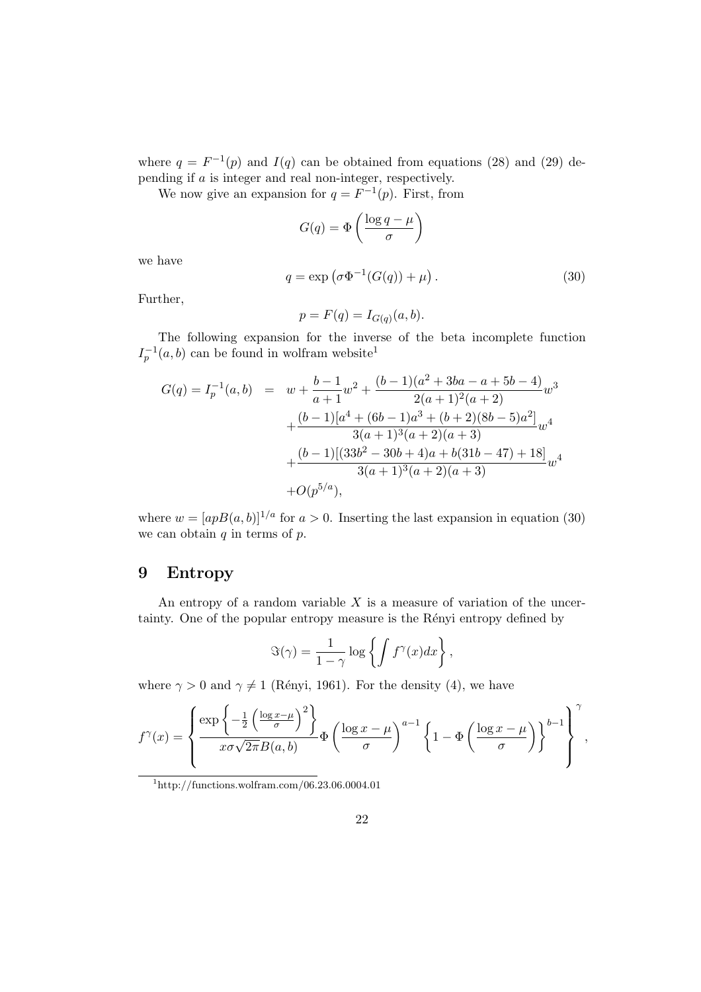where  $q = F^{-1}(p)$  and  $I(q)$  can be obtained from equations (28) and (29) depending if a is integer and real non-integer, respectively.

We now give an expansion for  $q = F^{-1}(p)$ . First, from

$$
G(q) = \Phi\left(\frac{\log q - \mu}{\sigma}\right)
$$

we have

$$
q = \exp\left(\sigma \Phi^{-1}(G(q)) + \mu\right). \tag{30}
$$

Further,

$$
p = F(q) = I_{G(q)}(a, b).
$$

The following expansion for the inverse of the beta incomplete function  $I_p^{-1}(a, b)$  can be found in wolfram website<sup>1</sup>

$$
G(q) = I_p^{-1}(a, b) = w + \frac{b-1}{a+1}w^2 + \frac{(b-1)(a^2 + 3ba - a + 5b - 4)}{2(a+1)^2(a+2)}w^3
$$
  
+ 
$$
\frac{(b-1)[a^4 + (6b-1)a^3 + (b+2)(8b-5)a^2]}{3(a+1)^3(a+2)(a+3)}w^4
$$
  
+ 
$$
\frac{(b-1)[(33b^2 - 30b + 4)a + b(31b - 47) + 18]}{3(a+1)^3(a+2)(a+3)}w^4
$$
  
+ 
$$
O(p^{5/a}),
$$

where  $w = [apB(a, b)]^{1/a}$  for  $a > 0$ . Inserting the last expansion in equation (30) we can obtain  $q$  in terms of  $p$ .

#### 9 Entropy

An entropy of a random variable  $X$  is a measure of variation of the uncertainty. One of the popular entropy measure is the Rényi entropy defined by

$$
\Im(\gamma) = \frac{1}{1-\gamma} \log \left\{ \int f^{\gamma}(x) dx \right\},\,
$$

where  $\gamma > 0$  and  $\gamma \neq 1$  (Rényi, 1961). For the density (4), we have

$$
f^{\gamma}(x) = \left\{ \frac{\exp\left\{-\frac{1}{2}\left(\frac{\log x - \mu}{\sigma}\right)^2\right\}}{x\sigma\sqrt{2\pi}B(a,b)}\Phi\left(\frac{\log x - \mu}{\sigma}\right)^{a-1}\left\{1 - \Phi\left(\frac{\log x - \mu}{\sigma}\right)\right\}^{b-1}\right\}^{\gamma},\,
$$

 $1$ http://functions.wolfram.com/06.23.06.0004.01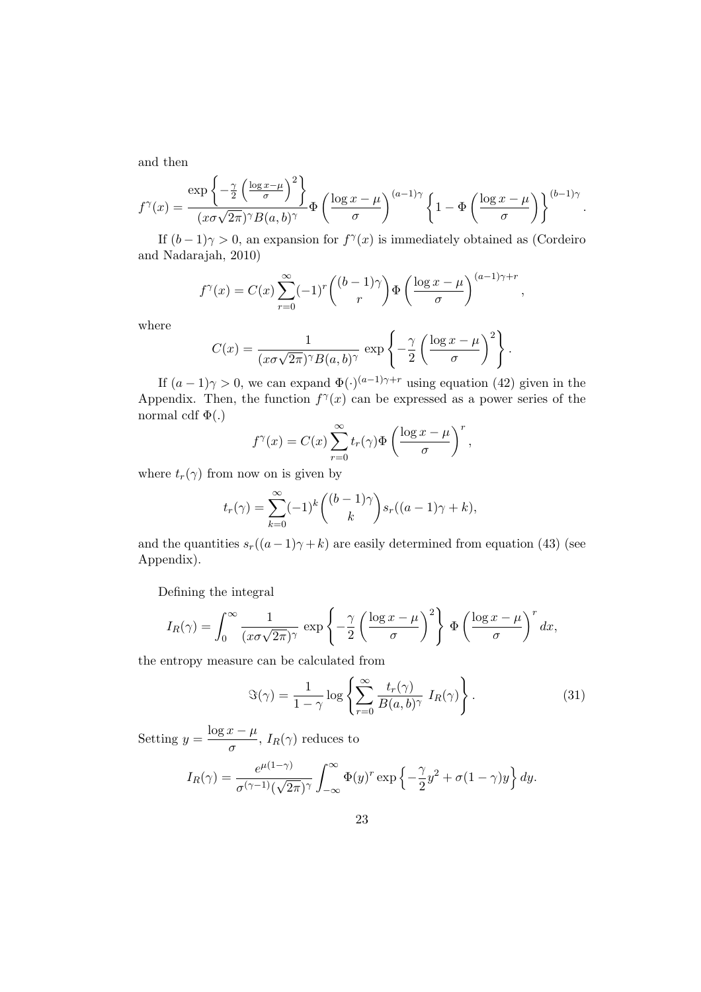and then

$$
f^{\gamma}(x) = \frac{\exp\left\{-\frac{\gamma}{2}\left(\frac{\log x - \mu}{\sigma}\right)^{2}\right\}}{(x\sigma\sqrt{2\pi})^{\gamma}B(a,b)^{\gamma}}\Phi\left(\frac{\log x - \mu}{\sigma}\right)^{(a-1)\gamma}\left\{1 - \Phi\left(\frac{\log x - \mu}{\sigma}\right)\right\}^{(b-1)\gamma}
$$

.

If  $(b-1)\gamma > 0$ , an expansion for  $f^{\gamma}(x)$  is immediately obtained as (Cordeiro and Nadarajah, 2010)

$$
f^{\gamma}(x) = C(x) \sum_{r=0}^{\infty} (-1)^r { (b-1)\gamma \choose r} \Phi\left(\frac{\log x - \mu}{\sigma}\right)^{(a-1)\gamma + r},
$$

where

$$
C(x) = \frac{1}{(x\sigma\sqrt{2\pi})^{\gamma}B(a,b)^{\gamma}} \exp\left\{-\frac{\gamma}{2}\left(\frac{\log x - \mu}{\sigma}\right)^{2}\right\}.
$$

If  $(a-1)\gamma > 0$ , we can expand  $\Phi(\cdot)^{(a-1)\gamma+r}$  using equation (42) given in the Appendix. Then, the function  $f^{\gamma}(x)$  can be expressed as a power series of the normal cdf  $\Phi(.)$ 

$$
f^{\gamma}(x) = C(x) \sum_{r=0}^{\infty} t_r(\gamma) \Phi \left(\frac{\log x - \mu}{\sigma}\right)^r,
$$

where  $t_r(\gamma)$  from now on is given by

$$
t_r(\gamma) = \sum_{k=0}^{\infty} (-1)^k \binom{(b-1)\gamma}{k} s_r((a-1)\gamma + k),
$$

and the quantities  $s_r((a-1)\gamma + k)$  are easily determined from equation (43) (see Appendix).

Defining the integral

$$
I_R(\gamma) = \int_0^\infty \frac{1}{(x\sigma\sqrt{2\pi})^\gamma} \exp\left\{-\frac{\gamma}{2}\left(\frac{\log x - \mu}{\sigma}\right)^2\right\} \Phi\left(\frac{\log x - \mu}{\sigma}\right)^r dx,
$$

the entropy measure can be calculated from

$$
\Im(\gamma) = \frac{1}{1-\gamma} \log \left\{ \sum_{r=0}^{\infty} \frac{t_r(\gamma)}{B(a,b)^{\gamma}} I_R(\gamma) \right\}.
$$
 (31)

Setting  $y = \frac{\log x - \mu}{\ln x}$  $\frac{\partial}{\partial \sigma}$ ,  $I_R(\gamma)$  reduces to

$$
I_R(\gamma) = \frac{e^{\mu(1-\gamma)}}{\sigma^{(\gamma-1)}(\sqrt{2\pi})^{\gamma}} \int_{-\infty}^{\infty} \Phi(y)^r \exp\left\{-\frac{\gamma}{2}y^2 + \sigma(1-\gamma)y\right\} dy.
$$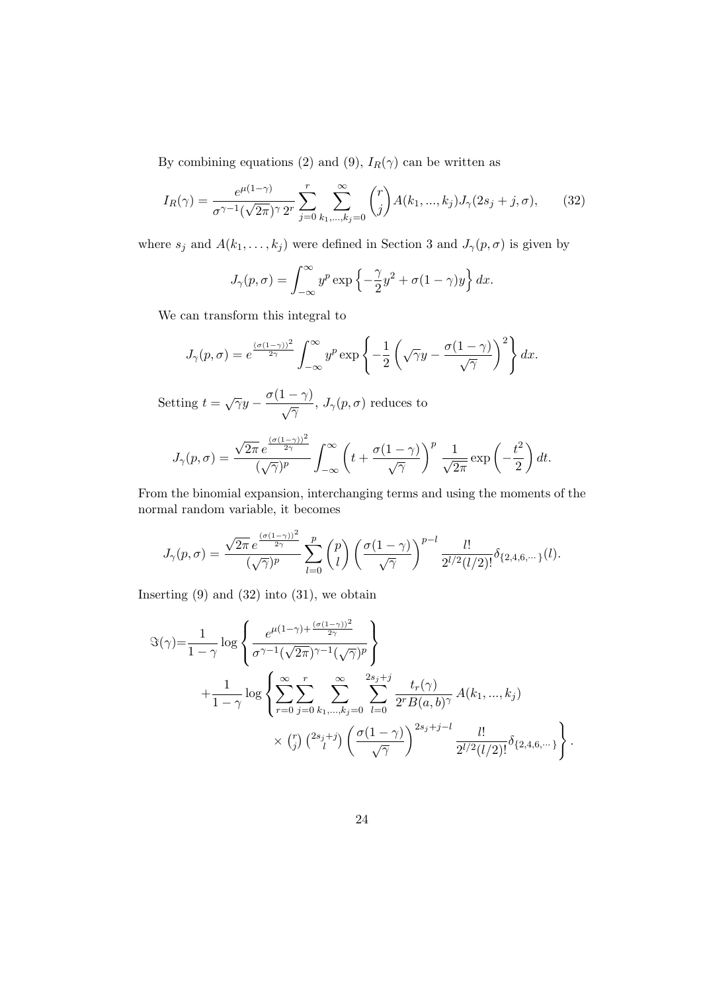By combining equations (2) and (9),  $I_R(\gamma)$  can be written as

$$
I_R(\gamma) = \frac{e^{\mu(1-\gamma)}}{\sigma^{\gamma-1}(\sqrt{2\pi})^{\gamma} 2^r} \sum_{j=0}^r \sum_{k_1,\dots,k_j=0}^{\infty} \binom{r}{j} A(k_1,\dots,k_j) J_{\gamma}(2s_j+j,\sigma),\tag{32}
$$

where  $s_j$  and  $A(k_1, \ldots, k_j)$  were defined in Section 3 and  $J_\gamma(p, \sigma)$  is given by

$$
J_{\gamma}(p,\sigma) = \int_{-\infty}^{\infty} y^p \exp\left\{-\frac{\gamma}{2}y^2 + \sigma(1-\gamma)y\right\} dx.
$$

We can transform this integral to

$$
J_{\gamma}(p,\sigma) = e^{\frac{(\sigma(1-\gamma))^2}{2\gamma}} \int_{-\infty}^{\infty} y^p \exp\left\{-\frac{1}{2}\left(\sqrt{\gamma}y - \frac{\sigma(1-\gamma)}{\sqrt{\gamma}}\right)^2\right\} dx.
$$

Setting  $t = \sqrt{\gamma}y - \frac{\sigma(1-\gamma)}{\sigma}$  $\frac{1}{\sqrt{\gamma}}$ ,  $J_{\gamma}(p,\sigma)$  reduces to

$$
J_{\gamma}(p,\sigma)=\frac{\sqrt{2\pi}\,e^{\frac{(\sigma(1-\gamma))^2}{2\gamma}}}{(\sqrt{\gamma})^p}\int_{-\infty}^{\infty}\left(t+\frac{\sigma(1-\gamma)}{\sqrt{\gamma}}\right)^p\,\frac{1}{\sqrt{2\pi}}\exp\left(-\frac{t^2}{2}\right)dt.
$$

From the binomial expansion, interchanging terms and using the moments of the normal random variable, it becomes

$$
J_{\gamma}(p,\sigma)=\frac{\sqrt{2\pi}\,e^{\frac{(\sigma(1-\gamma))^2}{2\gamma}}}{(\sqrt{\gamma})^p}\sum_{l=0}^p\binom{p}{l}\left(\frac{\sigma(1-\gamma)}{\sqrt{\gamma}}\right)^{p-l}\frac{l!}{2^{l/2}(l/2)!}\delta_{\{2,4,6,\cdots\}}(l).
$$

Inserting  $(9)$  and  $(32)$  into  $(31)$ , we obtain

$$
\Im(\gamma) = \frac{1}{1-\gamma} \log \left\{ \frac{e^{\mu(1-\gamma)+\frac{(\sigma(1-\gamma))^2}{2\gamma}}}{\sigma^{\gamma-1}(\sqrt{2\pi})^{\gamma-1}(\sqrt{\gamma})^p} \right\}
$$
  
 
$$
+ \frac{1}{1-\gamma} \log \left\{ \sum_{r=0}^{\infty} \sum_{j=0}^{r} \sum_{k_1,\dots,k_j=0}^{\infty} \sum_{l=0}^{2s_j+j} \frac{t_r(\gamma)}{2^r B(a,b)^{\gamma}} A(k_1,\dots,k_j)
$$
  
 
$$
\times {r \choose j} {2s_j+j \choose l} \left(\frac{\sigma(1-\gamma)}{\sqrt{\gamma}}\right)^{2s_j+j-l} \frac{l!}{2^{l/2}(l/2)!} \delta_{\{2,4,6,\dots\}} \right\}.
$$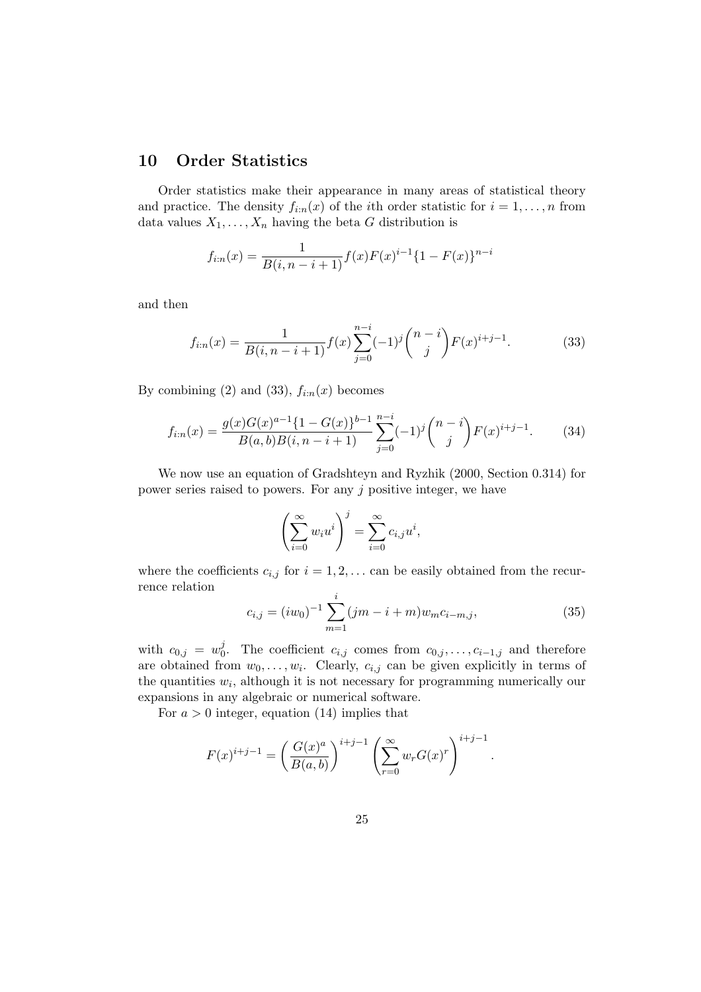## 10 Order Statistics

Order statistics make their appearance in many areas of statistical theory and practice. The density  $f_{i:n}(x)$  of the *i*th order statistic for  $i = 1, \ldots, n$  from data values  $X_1, \ldots, X_n$  having the beta G distribution is

$$
f_{i:n}(x) = \frac{1}{B(i, n-i+1)} f(x) F(x)^{i-1} \{1 - F(x)\}^{n-i}
$$

and then

$$
f_{i:n}(x) = \frac{1}{B(i, n-i+1)} f(x) \sum_{j=0}^{n-i} (-1)^j {n-i \choose j} F(x)^{i+j-1}.
$$
 (33)

By combining (2) and (33),  $f_{i:n}(x)$  becomes

$$
f_{i:n}(x) = \frac{g(x)G(x)^{a-1}\{1 - G(x)\}^{b-1}}{B(a,b)B(i,n-i+1)} \sum_{j=0}^{n-i} (-1)^j \binom{n-i}{j} F(x)^{i+j-1}.
$$
 (34)

We now use an equation of Gradshteyn and Ryzhik (2000, Section 0.314) for power series raised to powers. For any  $j$  positive integer, we have

$$
\left(\sum_{i=0}^{\infty} w_i u^i\right)^j = \sum_{i=0}^{\infty} c_{i,j} u^i,
$$

where the coefficients  $c_{i,j}$  for  $i = 1, 2, \ldots$  can be easily obtained from the recurrence relation

$$
c_{i,j} = (iw_0)^{-1} \sum_{m=1}^{i} (jm - i + m) w_m c_{i-m,j},
$$
\n(35)

with  $c_{0,j} = w_0^j$ <sup>*f*</sup><sub>0</sub>. The coefficient  $c_{i,j}$  comes from  $c_{0,j}, \ldots, c_{i-1,j}$  and therefore are obtained from  $w_0, \ldots, w_i$ . Clearly,  $c_{i,j}$  can be given explicitly in terms of the quantities  $w_i$ , although it is not necessary for programming numerically our expansions in any algebraic or numerical software.

For  $a > 0$  integer, equation (14) implies that

$$
F(x)^{i+j-1} = \left(\frac{G(x)^a}{B(a,b)}\right)^{i+j-1} \left(\sum_{r=0}^{\infty} w_r G(x)^r\right)^{i+j-1}.
$$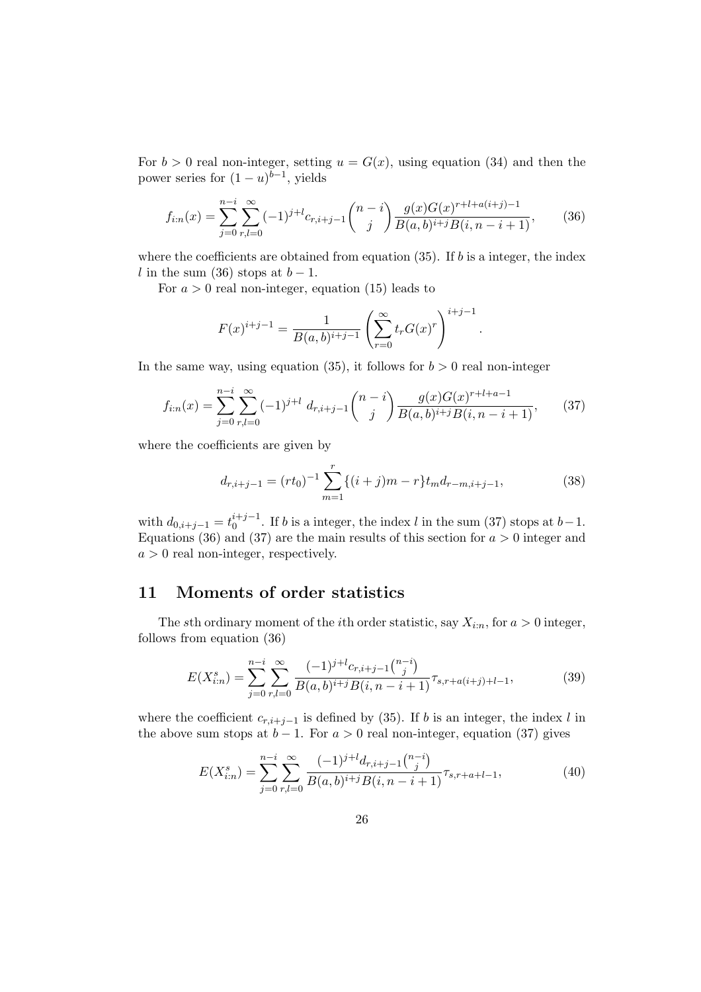For  $b > 0$  real non-integer, setting  $u = G(x)$ , using equation (34) and then the power series for  $(1-u)^{b-1}$ , yields

$$
f_{i:n}(x) = \sum_{j=0}^{n-i} \sum_{r,l=0}^{\infty} (-1)^{j+l} c_{r,i+j-1} \binom{n-i}{j} \frac{g(x)G(x)^{r+l+a(i+j)-1}}{B(a,b)^{i+j}B(i,n-i+1)},
$$
(36)

where the coefficients are obtained from equation  $(35)$ . If b is a integer, the index l in the sum (36) stops at  $b-1$ .

For  $a > 0$  real non-integer, equation (15) leads to

$$
F(x)^{i+j-1} = \frac{1}{B(a,b)^{i+j-1}} \left(\sum_{r=0}^{\infty} t_r G(x)^r\right)^{i+j-1}.
$$

In the same way, using equation (35), it follows for  $b > 0$  real non-integer

$$
f_{i:n}(x) = \sum_{j=0}^{n-i} \sum_{r,l=0}^{\infty} (-1)^{j+l} d_{r,i+j-1} \binom{n-i}{j} \frac{g(x)G(x)^{r+l+a-1}}{B(a,b)^{i+j}B(i,n-i+1)},
$$
(37)

where the coefficients are given by

$$
d_{r,i+j-1} = (rt_0)^{-1} \sum_{m=1}^{r} \{(i+j)m - r\} t_m d_{r-m,i+j-1},
$$
\n(38)

with  $d_{0,i+j-1} = t_0^{i+j-1}$  $\binom{i+j-1}{0}$ . If b is a integer, the index l in the sum (37) stops at  $b-1$ . Equations (36) and (37) are the main results of this section for  $a > 0$  integer and  $a > 0$  real non-integer, respectively.

# 11 Moments of order statistics

The sth ordinary moment of the *i*th order statistic, say  $X_{i:n}$ , for  $a > 0$  integer, follows from equation (36)

$$
E(X_{i:n}^s) = \sum_{j=0}^{n-i} \sum_{r,l=0}^{\infty} \frac{(-1)^{j+l} c_{r,i+j-1} {n-i \choose j}}{B(a,b)^{i+j} B(i,n-i+1)}^{\tau_{s,r+a(i+j)+l-1}},
$$
(39)

where the coefficient  $c_{r,i+j-1}$  is defined by (35). If b is an integer, the index l in the above sum stops at  $b - 1$ . For  $a > 0$  real non-integer, equation (37) gives

$$
E(X_{i:n}^s) = \sum_{j=0}^{n-i} \sum_{r,l=0}^{\infty} \frac{(-1)^{j+l} d_{r,i+j-1} {n-i \choose j}}{B(a,b)^{i+j} B(i,n-i+1)}^{\tau_{s,r+a+l-1}},
$$
(40)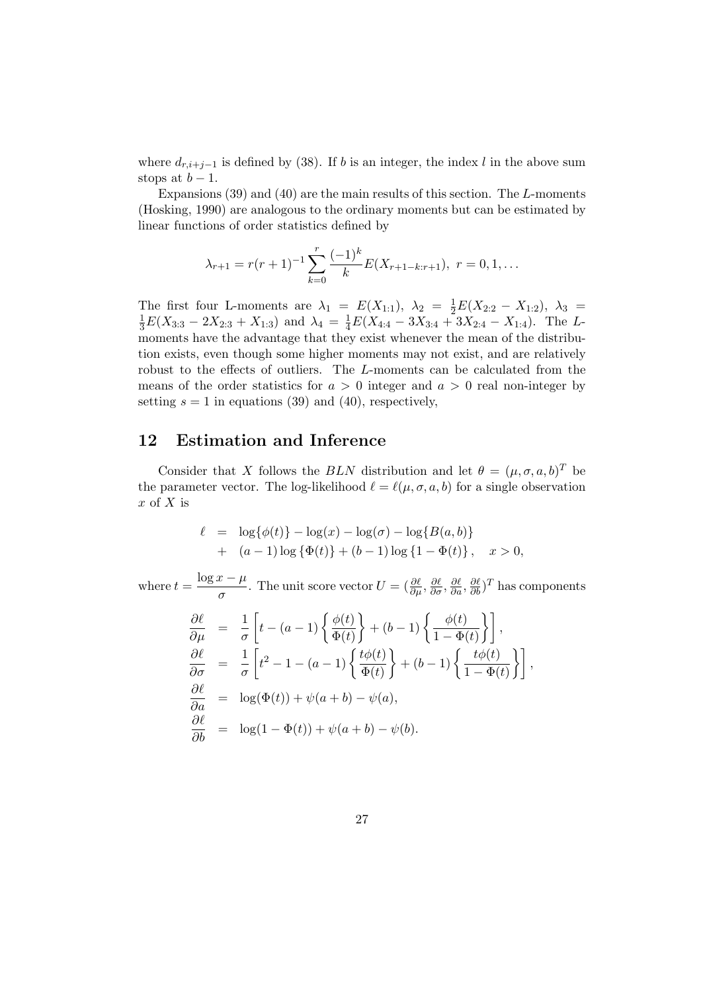where  $d_{r,i+j-1}$  is defined by (38). If b is an integer, the index l in the above sum stops at  $b-1$ .

Expansions  $(39)$  and  $(40)$  are the main results of this section. The L-moments (Hosking, 1990) are analogous to the ordinary moments but can be estimated by linear functions of order statistics defined by

$$
\lambda_{r+1} = r(r+1)^{-1} \sum_{k=0}^{r} \frac{(-1)^k}{k} E(X_{r+1-k:r+1}), \ r = 0, 1, \dots
$$

The first four L-moments are  $\lambda_1 = E(X_{1:1}), \lambda_2 = \frac{1}{2}E(X_{2:2} - X_{1:2}), \lambda_3 =$  $\frac{1}{3}E(X_{3:3}-2X_{2:3}+X_{1:3})$  and  $\lambda_4 = \frac{1}{4}E(X_{4:4}-3X_{3:4}+3X_{2:4}-X_{1:4})$ . The Lmoments have the advantage that they exist whenever the mean of the distribution exists, even though some higher moments may not exist, and are relatively robust to the effects of outliers. The L-moments can be calculated from the means of the order statistics for  $a > 0$  integer and  $a > 0$  real non-integer by setting  $s = 1$  in equations (39) and (40), respectively,

#### 12 Estimation and Inference

Consider that X follows the BLN distribution and let  $\theta = (\mu, \sigma, a, b)^T$  be the parameter vector. The log-likelihood  $\ell = \ell(\mu, \sigma, a, b)$  for a single observation  $x$  of  $X$  is

$$
\ell = \log{\phi(t)} - \log(x) - \log(\sigma) - \log{B(a, b)}
$$
  
+  $(a - 1) \log{\Phi(t)} + (b - 1) \log{1 - \Phi(t)}$ ,  $x > 0$ ,

where  $t = \frac{\log x - \mu}{\ln x}$  $\frac{\partial E}{\partial \sigma} - \frac{\partial E}{\partial \sigma}$ . The unit score vector  $U = (\frac{\partial \ell}{\partial \mu}, \frac{\partial \ell}{\partial \sigma}, \frac{\partial \ell}{\partial a}, \frac{\partial \ell}{\partial b})^T$  has components

$$
\frac{\partial \ell}{\partial \mu} = \frac{1}{\sigma} \left[ t - (a - 1) \left\{ \frac{\phi(t)}{\Phi(t)} \right\} + (b - 1) \left\{ \frac{\phi(t)}{1 - \Phi(t)} \right\} \right],
$$
  
\n
$$
\frac{\partial \ell}{\partial \sigma} = \frac{1}{\sigma} \left[ t^2 - 1 - (a - 1) \left\{ \frac{t\phi(t)}{\Phi(t)} \right\} + (b - 1) \left\{ \frac{t\phi(t)}{1 - \Phi(t)} \right\} \right],
$$
  
\n
$$
\frac{\partial \ell}{\partial a} = \log(\Phi(t)) + \psi(a + b) - \psi(a),
$$
  
\n
$$
\frac{\partial \ell}{\partial b} = \log(1 - \Phi(t)) + \psi(a + b) - \psi(b).
$$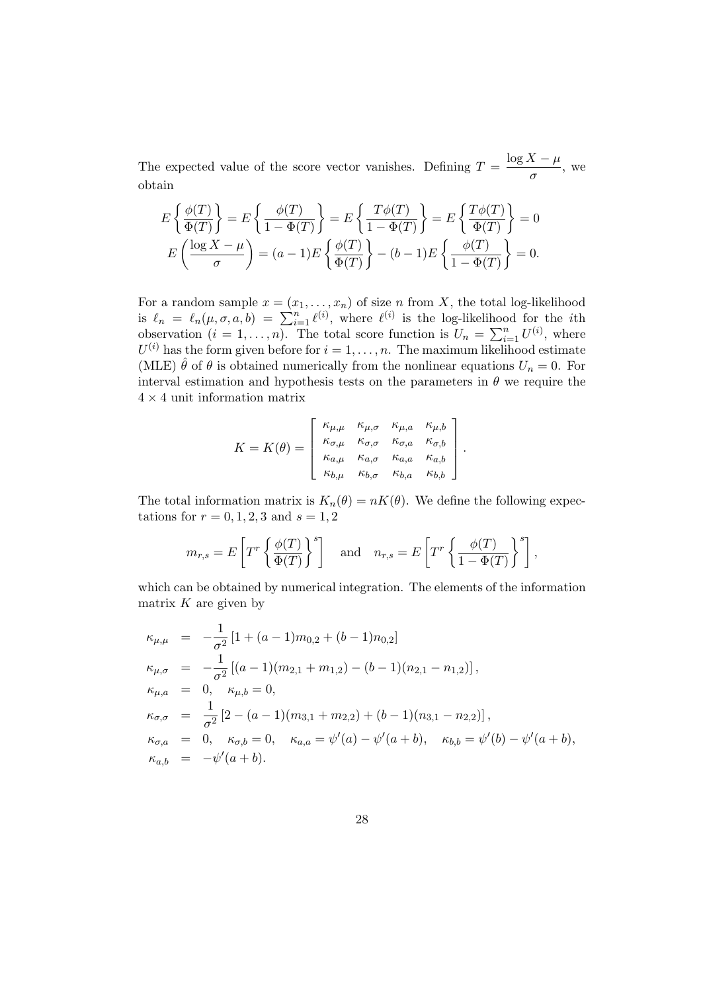The expected value of the score vector vanishes. Defining  $T = \frac{\log X - \mu}{\sigma^2}$  $\frac{1-\mu}{\sigma}$ , we obtain

$$
E\left\{\frac{\phi(T)}{\Phi(T)}\right\} = E\left\{\frac{\phi(T)}{1 - \Phi(T)}\right\} = E\left\{\frac{T\phi(T)}{1 - \Phi(T)}\right\} = E\left\{\frac{T\phi(T)}{\Phi(T)}\right\} = 0
$$

$$
E\left(\frac{\log X - \mu}{\sigma}\right) = (a - 1)E\left\{\frac{\phi(T)}{\Phi(T)}\right\} - (b - 1)E\left\{\frac{\phi(T)}{1 - \Phi(T)}\right\} = 0.
$$

For a random sample  $x = (x_1, \ldots, x_n)$  of size n from X, the total log-likelihood For a random sample  $x = (x_1, \ldots, x_n)$  or size *n* from  $\Lambda$ , the total log-likelihood<br>is  $\ell_n = \ell_n(\mu, \sigma, a, b) = \sum_{i=1}^n \ell^{(i)}$ , where  $\ell^{(i)}$  is the log-likelihood for the *i*th observation  $(i = 1, ..., n)$ . The total score function is  $U_n = \sum_{i=1}^n$ .  $_{i=1}^n U^{(i)}$ , where  $U^{(i)}$  has the form given before for  $i = 1, \ldots, n$ . The maximum likelihood estimate (MLE)  $\hat{\theta}$  of  $\theta$  is obtained numerically from the nonlinear equations  $U_n = 0$ . For interval estimation and hypothesis tests on the parameters in  $\theta$  we require the  $4 \times 4$  unit information matrix

$$
K = K(\theta) = \begin{bmatrix} \kappa_{\mu,\mu} & \kappa_{\mu,\sigma} & \kappa_{\mu,a} & \kappa_{\mu,b} \\ \kappa_{\sigma,\mu} & \kappa_{\sigma,\sigma} & \kappa_{\sigma,a} & \kappa_{\sigma,b} \\ \kappa_{a,\mu} & \kappa_{a,\sigma} & \kappa_{a,a} & \kappa_{a,b} \\ \kappa_{b,\mu} & \kappa_{b,\sigma} & \kappa_{b,a} & \kappa_{b,b} \end{bmatrix}.
$$

The total information matrix is  $K_n(\theta) = nK(\theta)$ . We define the following expectations for  $r = 0, 1, 2, 3$  and  $s = 1, 2$ 

$$
m_{r,s} = E\left[T^r \left\{\frac{\phi(T)}{\Phi(T)}\right\}^s\right] \quad \text{and} \quad n_{r,s} = E\left[T^r \left\{\frac{\phi(T)}{1-\Phi(T)}\right\}^s\right],
$$

which can be obtained by numerical integration. The elements of the information matrix  $K$  are given by

$$
\kappa_{\mu,\mu} = -\frac{1}{\sigma^2} [1 + (a-1)m_{0,2} + (b-1)n_{0,2}]
$$
  
\n
$$
\kappa_{\mu,\sigma} = -\frac{1}{\sigma^2} [(a-1)(m_{2,1} + m_{1,2}) - (b-1)(n_{2,1} - n_{1,2})],
$$
  
\n
$$
\kappa_{\mu,a} = 0, \quad \kappa_{\mu,b} = 0,
$$
  
\n
$$
\kappa_{\sigma,\sigma} = \frac{1}{\sigma^2} [2 - (a-1)(m_{3,1} + m_{2,2}) + (b-1)(n_{3,1} - n_{2,2})],
$$
  
\n
$$
\kappa_{\sigma,a} = 0, \quad \kappa_{\sigma,b} = 0, \quad \kappa_{a,a} = \psi'(a) - \psi'(a+b), \quad \kappa_{b,b} = \psi'(b) - \psi'(a+b),
$$
  
\n
$$
\kappa_{a,b} = -\psi'(a+b).
$$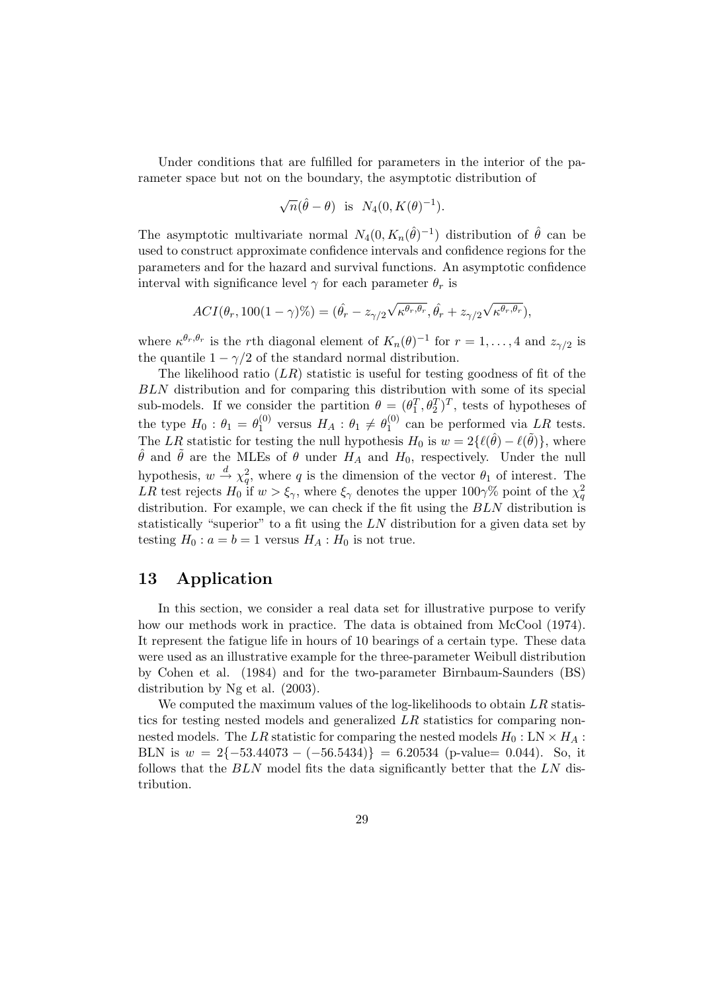Under conditions that are fulfilled for parameters in the interior of the parameter space but not on the boundary, the asymptotic distribution of

$$
\sqrt{n}(\hat{\theta} - \theta)
$$
 is  $N_4(0, K(\theta)^{-1}).$ 

The asymptotic multivariate normal  $N_4(0, K_n(\hat{\theta})^{-1})$  distribution of  $\hat{\theta}$  can be used to construct approximate confidence intervals and confidence regions for the parameters and for the hazard and survival functions. An asymptotic confidence interval with significance level  $\gamma$  for each parameter  $\theta_r$  is

$$
ACI(\theta_r, 100(1-\gamma)\%) = (\hat{\theta}_r - z_{\gamma/2}\sqrt{\kappa^{\theta_r}, \theta_r}, \hat{\theta}_r + z_{\gamma/2}\sqrt{\kappa^{\theta_r}, \theta_r}),
$$

where  $\kappa^{\theta_r,\theta_r}$  is the rth diagonal element of  $K_n(\theta)^{-1}$  for  $r=1,\ldots,4$  and  $z_{\gamma/2}$  is the quantile  $1 - \gamma/2$  of the standard normal distribution.

The likelihood ratio  $(LR)$  statistic is useful for testing goodness of fit of the BLN distribution and for comparing this distribution with some of its special sub-models. If we consider the partition  $\theta = (\theta_1^T, \theta_2^T)^T$ , tests of hypotheses of the type  $H_0: \theta_1 = \theta_1^{(0)}$  $_{1}^{(0)}$  versus  $H_A: \theta_1 \neq \theta_1^{(0)}$  $_1^{(0)}$  can be performed via LR tests. The LR statistic for testing the null hypothesis  $H_0$  is  $w = 2\{\ell(\hat{\theta}) - \ell(\tilde{\theta})\}\,$ , where  $\hat{\theta}$  and  $\tilde{\theta}$  are the MLEs of  $\theta$  under  $H_A$  and  $H_0$ , respectively. Under the null hypothesis,  $w \stackrel{d}{\rightarrow} \chi^2_q$ , where q is the dimension of the vector  $\theta_1$  of interest. The LR test rejects  $H_0$  if  $w > \xi_\gamma$ , where  $\xi_\gamma$  denotes the upper 100 $\gamma\%$  point of the  $\chi^2$ distribution. For example, we can check if the fit using the BLN distribution is statistically "superior" to a fit using the LN distribution for a given data set by testing  $H_0$ :  $a = b = 1$  versus  $H_A$ :  $H_0$  is not true.

#### 13 Application

In this section, we consider a real data set for illustrative purpose to verify how our methods work in practice. The data is obtained from McCool (1974). It represent the fatigue life in hours of 10 bearings of a certain type. These data were used as an illustrative example for the three-parameter Weibull distribution by Cohen et al. (1984) and for the two-parameter Birnbaum-Saunders (BS) distribution by Ng et al. (2003).

We computed the maximum values of the log-likelihoods to obtain  $LR$  statistics for testing nested models and generalized LR statistics for comparing nonnested models. The LR statistic for comparing the nested models  $H_0: \text{LN} \times H_A$ : BLN is  $w = 2\{-53.44073 - (-56.5434)\} = 6.20534$  (p-value= 0.044). So, it follows that the  $BLN$  model fits the data significantly better that the  $LN$  distribution.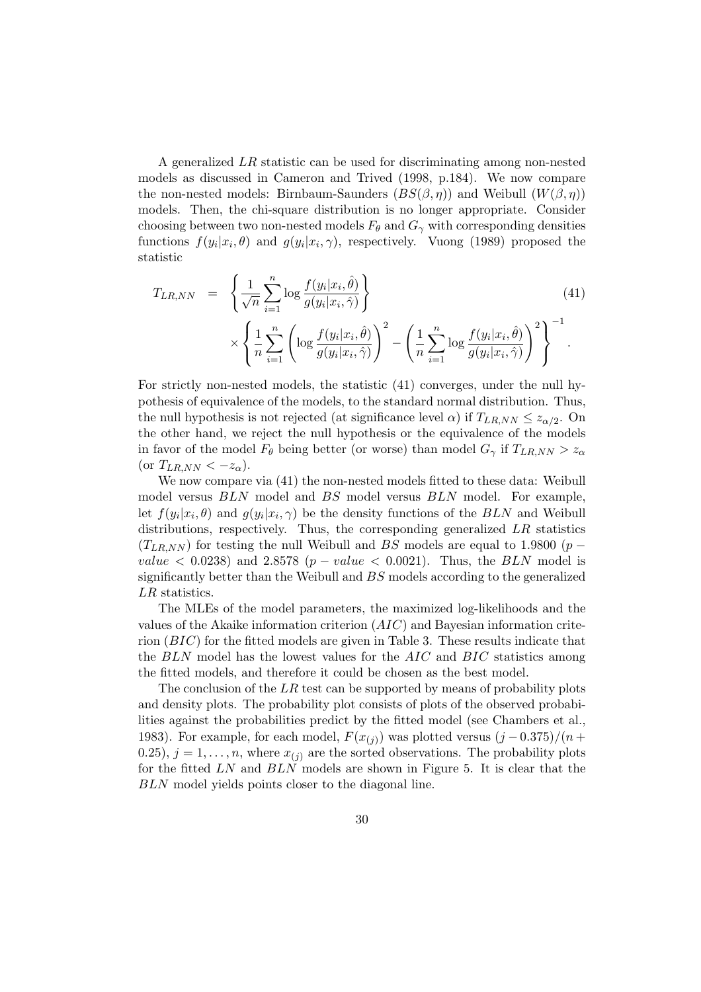A generalized LR statistic can be used for discriminating among non-nested models as discussed in Cameron and Trived (1998, p.184). We now compare the non-nested models: Birnbaum-Saunders  $(BS(\beta, \eta))$  and Weibull  $(W(\beta, \eta))$ models. Then, the chi-square distribution is no longer appropriate. Consider choosing between two non-nested models  $F_{\theta}$  and  $G_{\gamma}$  with corresponding densities functions  $f(y_i|x_i, \theta)$  and  $g(y_i|x_i, \gamma)$ , respectively. Vuong (1989) proposed the statistic

$$
T_{LR,NN} = \left\{ \frac{1}{\sqrt{n}} \sum_{i=1}^n \log \frac{f(y_i|x_i, \hat{\theta})}{g(y_i|x_i, \hat{\gamma})} \right\}
$$
(41)  

$$
\times \left\{ \frac{1}{n} \sum_{i=1}^n \left( \log \frac{f(y_i|x_i, \hat{\theta})}{g(y_i|x_i, \hat{\gamma})} \right)^2 - \left( \frac{1}{n} \sum_{i=1}^n \log \frac{f(y_i|x_i, \hat{\theta})}{g(y_i|x_i, \hat{\gamma})} \right)^2 \right\}^{-1}.
$$

For strictly non-nested models, the statistic (41) converges, under the null hypothesis of equivalence of the models, to the standard normal distribution. Thus, the null hypothesis is not rejected (at significance level  $\alpha$ ) if  $T_{LR,NN} \leq z_{\alpha/2}$ . On the other hand, we reject the null hypothesis or the equivalence of the models in favor of the model  $F_{\theta}$  being better (or worse) than model  $G_{\gamma}$  if  $T_{LR,NN} > z_{\alpha}$ (or  $T_{LR,NN} < -z_\alpha$ ).

We now compare via (41) the non-nested models fitted to these data: Weibull model versus BLN model and BS model versus BLN model. For example, let  $f(y_i|x_i, \theta)$  and  $g(y_i|x_i, \gamma)$  be the density functions of the  $BLN$  and Weibull distributions, respectively. Thus, the corresponding generalized  $LR$  statistics  $(T_{LR,NN})$  for testing the null Weibull and BS models are equal to 1.9800 (p − value  $\langle 0.0238 \rangle$  and 2.8578 (p – value  $\langle 0.0021 \rangle$ ). Thus, the BLN model is significantly better than the Weibull and BS models according to the generalized LR statistics.

The MLEs of the model parameters, the maximized log-likelihoods and the values of the Akaike information criterion (AIC) and Bayesian information criterion  $(BIC)$  for the fitted models are given in Table 3. These results indicate that the BLN model has the lowest values for the AIC and BIC statistics among the fitted models, and therefore it could be chosen as the best model.

The conclusion of the  $LR$  test can be supported by means of probability plots and density plots. The probability plot consists of plots of the observed probabilities against the probabilities predict by the fitted model (see Chambers et al., 1983). For example, for each model,  $F(x_{(j)})$  was plotted versus  $(j-0.375)/(n+1)$ 0.25),  $j = 1, ..., n$ , where  $x_{(j)}$  are the sorted observations. The probability plots for the fitted LN and BLN models are shown in Figure 5. It is clear that the BLN model yields points closer to the diagonal line.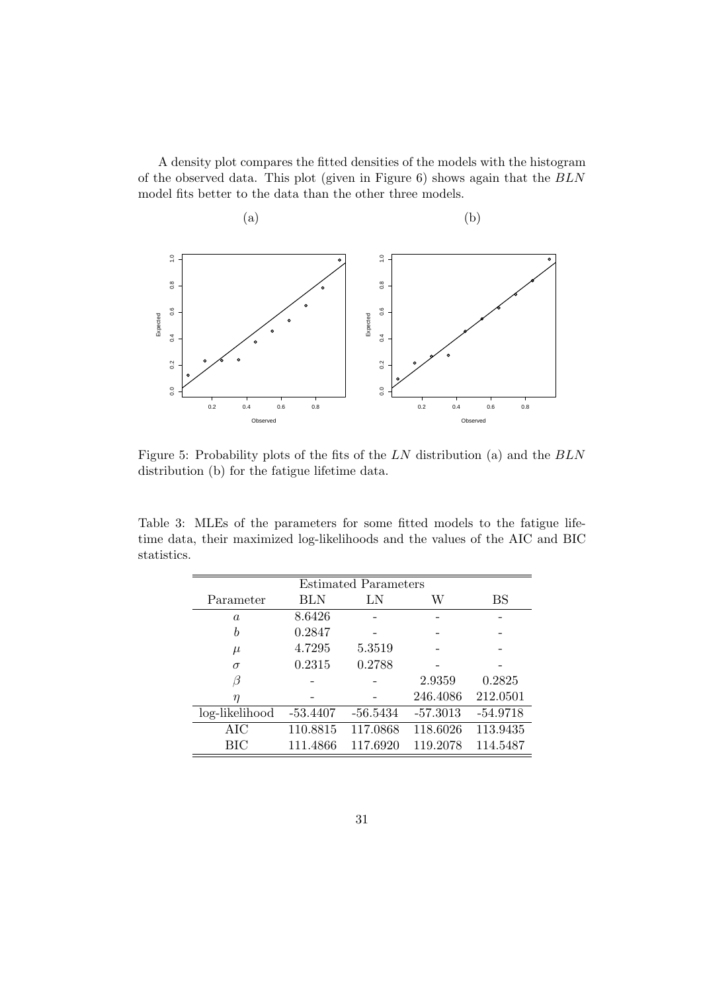A density plot compares the fitted densities of the models with the histogram of the observed data. This plot (given in Figure 6) shows again that the BLN model fits better to the data than the other three models.



Figure 5: Probability plots of the fits of the LN distribution (a) and the BLN distribution (b) for the fatigue lifetime data.

Table 3: MLEs of the parameters for some fitted models to the fatigue lifetime data, their maximized log-likelihoods and the values of the AIC and BIC statistics.

| <b>Estimated Parameters</b> |          |          |            |            |  |  |  |  |
|-----------------------------|----------|----------|------------|------------|--|--|--|--|
| Parameter                   | BLN      | LN       | W          | BS         |  |  |  |  |
| $\boldsymbol{a}$            | 8.6426   |          |            |            |  |  |  |  |
| $\boldsymbol{b}$            | 0.2847   |          |            |            |  |  |  |  |
| $\mu$                       | 4.7295   | 5.3519   |            |            |  |  |  |  |
| $\sigma$                    | 0.2315   | 0.2788   |            |            |  |  |  |  |
| β                           |          |          | 2.9359     | 0.2825     |  |  |  |  |
| $\eta$                      |          |          | 246.4086   | 212.0501   |  |  |  |  |
| log-likelihood              | -53.4407 | -56.5434 | $-57.3013$ | $-54.9718$ |  |  |  |  |
| AIC                         | 110.8815 | 117.0868 | 118.6026   | 113.9435   |  |  |  |  |
| BIC                         | 111.4866 | 117.6920 | 119.2078   | 114.5487   |  |  |  |  |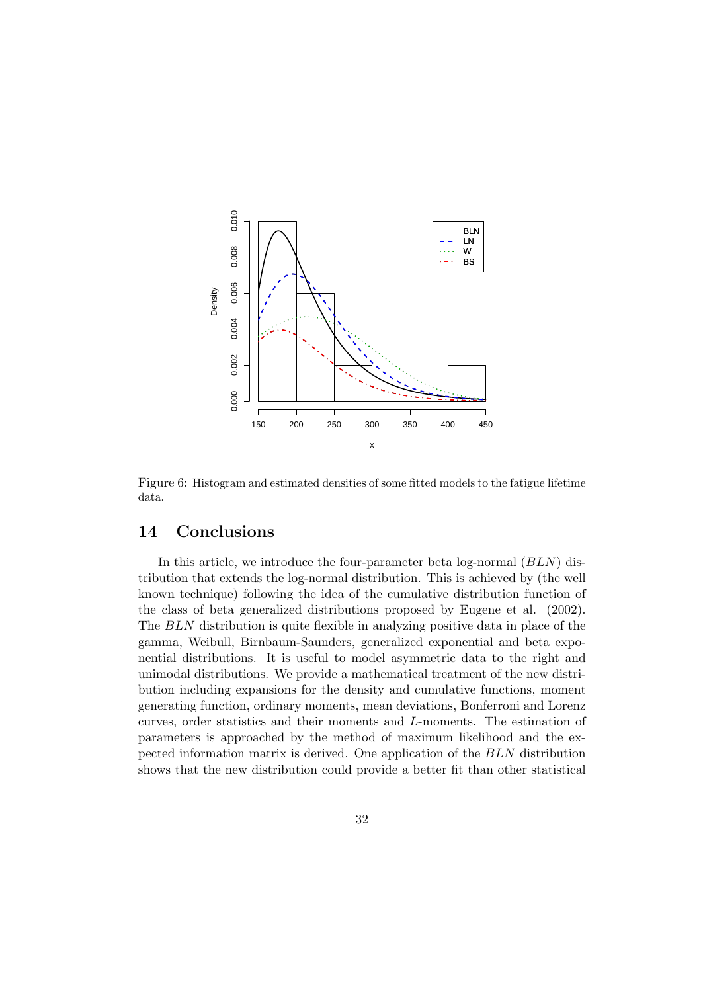

Figure 6: Histogram and estimated densities of some fitted models to the fatigue lifetime data.

# 14 Conclusions

In this article, we introduce the four-parameter beta log-normal  $(BLN)$  distribution that extends the log-normal distribution. This is achieved by (the well known technique) following the idea of the cumulative distribution function of the class of beta generalized distributions proposed by Eugene et al. (2002). The BLN distribution is quite flexible in analyzing positive data in place of the gamma, Weibull, Birnbaum-Saunders, generalized exponential and beta exponential distributions. It is useful to model asymmetric data to the right and unimodal distributions. We provide a mathematical treatment of the new distribution including expansions for the density and cumulative functions, moment generating function, ordinary moments, mean deviations, Bonferroni and Lorenz curves, order statistics and their moments and L-moments. The estimation of parameters is approached by the method of maximum likelihood and the expected information matrix is derived. One application of the BLN distribution shows that the new distribution could provide a better fit than other statistical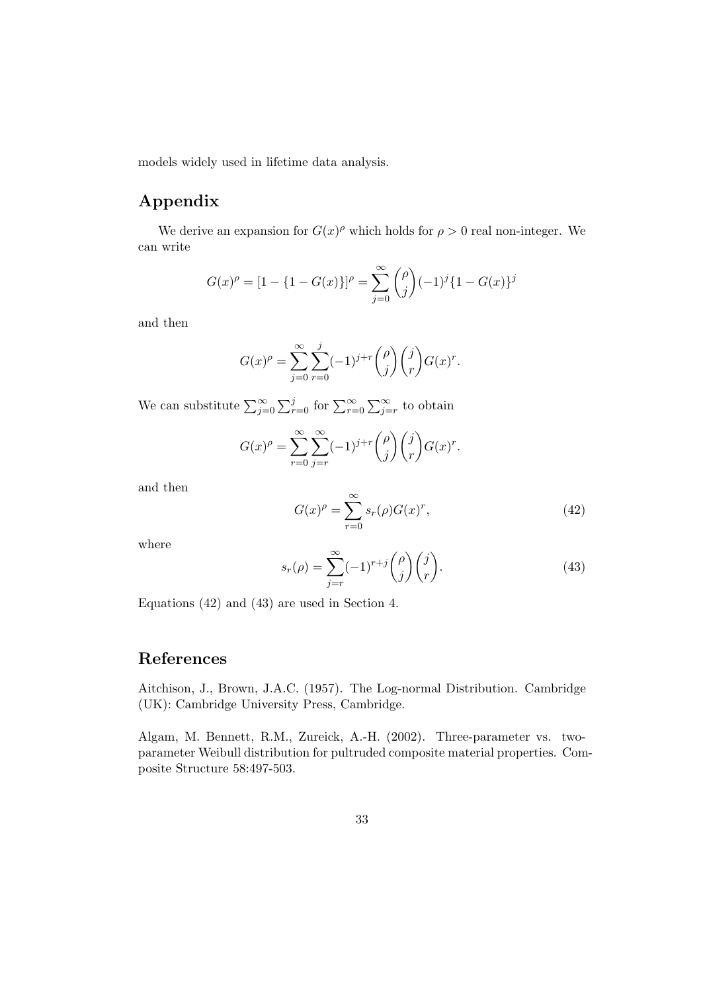models widely used in lifetime data analysis.

# Appendix

We derive an expansion for  $G(x)^\rho$  which holds for  $\rho > 0$  real non-integer. We can write

$$
G(x)^{\rho} = [1 - \{1 - G(x)\}]^{\rho} = \sum_{j=0}^{\infty} {\rho \choose j} (-1)^{j} \{1 - G(x)\}^{j}
$$

and then

$$
G(x)^{\rho} = \sum_{j=0}^{\infty} \sum_{r=0}^{j} (-1)^{j+r} {\rho \choose j} {j \choose r} G(x)^{r}.
$$

We can substitute  $\sum_{j=0}^{\infty}$  $\sum_{r=0}^{j}$  for  $\sum_{r=0}^{\infty}$  $\Gamma^{\infty}$  $\sum_{j=r}^{\infty}$  to obtain

$$
G(x)^{\rho} = \sum_{r=0}^{\infty} \sum_{j=r}^{\infty} (-1)^{j+r} {\rho \choose j} {j \choose r} G(x)^{r}.
$$

and then

$$
G(x)^{\rho} = \sum_{r=0}^{\infty} s_r(\rho) G(x)^r,
$$
\n(42)

where

$$
s_r(\rho) = \sum_{j=r}^{\infty} (-1)^{r+j} {\rho \choose j} {\binom{j}{r}}.
$$
\n(43)

Equations (42) and (43) are used in Section 4.

# References

Aitchison, J., Brown, J.A.C. (1957). The Log-normal Distribution. Cambridge (UK): Cambridge University Press, Cambridge.

Algam, M. Bennett, R.M., Zureick, A.-H. (2002). Three-parameter vs. twoparameter Weibull distribution for pultruded composite material properties. Composite Structure 58:497-503.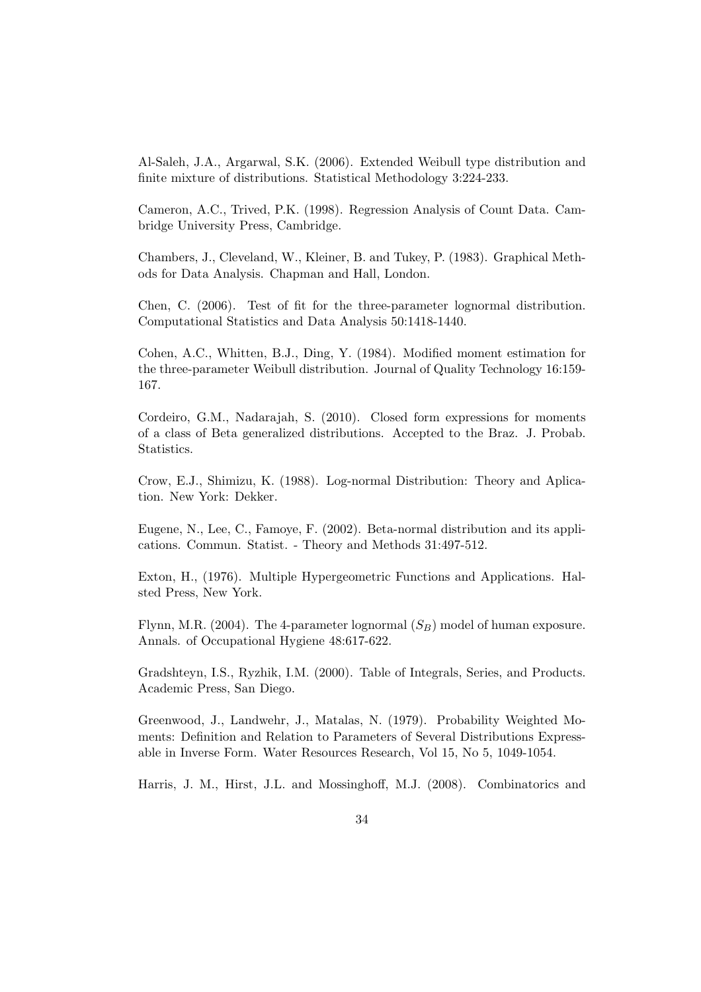Al-Saleh, J.A., Argarwal, S.K. (2006). Extended Weibull type distribution and finite mixture of distributions. Statistical Methodology 3:224-233.

Cameron, A.C., Trived, P.K. (1998). Regression Analysis of Count Data. Cambridge University Press, Cambridge.

Chambers, J., Cleveland, W., Kleiner, B. and Tukey, P. (1983). Graphical Methods for Data Analysis. Chapman and Hall, London.

Chen, C. (2006). Test of fit for the three-parameter lognormal distribution. Computational Statistics and Data Analysis 50:1418-1440.

Cohen, A.C., Whitten, B.J., Ding, Y. (1984). Modified moment estimation for the three-parameter Weibull distribution. Journal of Quality Technology 16:159- 167.

Cordeiro, G.M., Nadarajah, S. (2010). Closed form expressions for moments of a class of Beta generalized distributions. Accepted to the Braz. J. Probab. Statistics.

Crow, E.J., Shimizu, K. (1988). Log-normal Distribution: Theory and Aplication. New York: Dekker.

Eugene, N., Lee, C., Famoye, F. (2002). Beta-normal distribution and its applications. Commun. Statist. - Theory and Methods 31:497-512.

Exton, H., (1976). Multiple Hypergeometric Functions and Applications. Halsted Press, New York.

Flynn, M.R. (2004). The 4-parameter lognormal  $(S_B)$  model of human exposure. Annals. of Occupational Hygiene 48:617-622.

Gradshteyn, I.S., Ryzhik, I.M. (2000). Table of Integrals, Series, and Products. Academic Press, San Diego.

Greenwood, J., Landwehr, J., Matalas, N. (1979). Probability Weighted Moments: Definition and Relation to Parameters of Several Distributions Expressable in Inverse Form. Water Resources Research, Vol 15, No 5, 1049-1054.

Harris, J. M., Hirst, J.L. and Mossinghoff, M.J. (2008). Combinatorics and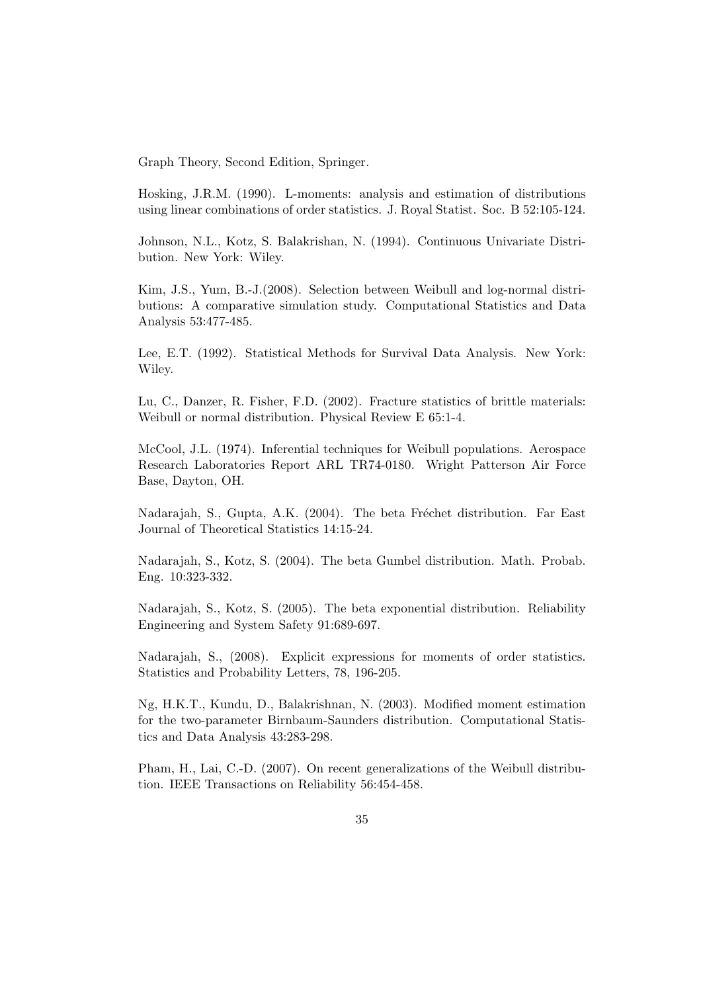Graph Theory, Second Edition, Springer.

Hosking, J.R.M. (1990). L-moments: analysis and estimation of distributions using linear combinations of order statistics. J. Royal Statist. Soc. B 52:105-124.

Johnson, N.L., Kotz, S. Balakrishan, N. (1994). Continuous Univariate Distribution. New York: Wiley.

Kim, J.S., Yum, B.-J.(2008). Selection between Weibull and log-normal distributions: A comparative simulation study. Computational Statistics and Data Analysis 53:477-485.

Lee, E.T. (1992). Statistical Methods for Survival Data Analysis. New York: Wiley.

Lu, C., Danzer, R. Fisher, F.D. (2002). Fracture statistics of brittle materials: Weibull or normal distribution. Physical Review E 65:1-4.

McCool, J.L. (1974). Inferential techniques for Weibull populations. Aerospace Research Laboratories Report ARL TR74-0180. Wright Patterson Air Force Base, Dayton, OH.

Nadarajah, S., Gupta, A.K. (2004). The beta Fréchet distribution. Far East Journal of Theoretical Statistics 14:15-24.

Nadarajah, S., Kotz, S. (2004). The beta Gumbel distribution. Math. Probab. Eng. 10:323-332.

Nadarajah, S., Kotz, S. (2005). The beta exponential distribution. Reliability Engineering and System Safety 91:689-697.

Nadarajah, S., (2008). Explicit expressions for moments of order statistics. Statistics and Probability Letters, 78, 196-205.

Ng, H.K.T., Kundu, D., Balakrishnan, N. (2003). Modified moment estimation for the two-parameter Birnbaum-Saunders distribution. Computational Statistics and Data Analysis 43:283-298.

Pham, H., Lai, C.-D. (2007). On recent generalizations of the Weibull distribution. IEEE Transactions on Reliability 56:454-458.